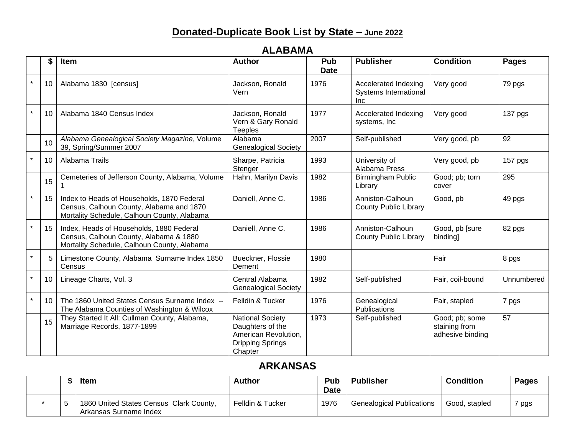# **Donated-Duplicate Book List by State – June 2022**

|         | \$ | Item                                                                                                                                  | <b>Author</b>                                                                                             | Pub<br><b>Date</b> | <b>Publisher</b>                                                   | <b>Condition</b>                                    | <b>Pages</b>    |
|---------|----|---------------------------------------------------------------------------------------------------------------------------------------|-----------------------------------------------------------------------------------------------------------|--------------------|--------------------------------------------------------------------|-----------------------------------------------------|-----------------|
| $\star$ | 10 | Alabama 1830 [census]                                                                                                                 | Jackson, Ronald<br>Vern                                                                                   | 1976               | Accelerated Indexing<br><b>Systems International</b><br><b>Inc</b> | Very good                                           | 79 pgs          |
| $\star$ | 10 | Alabama 1840 Census Index                                                                                                             | Jackson, Ronald<br>Vern & Gary Ronald<br><b>Teeples</b>                                                   | 1977               | Accelerated Indexing<br>systems, Inc                               | Very good                                           | 137 pgs         |
|         | 10 | Alabama Genealogical Society Magazine, Volume<br>39, Spring/Summer 2007                                                               | Alabama<br><b>Genealogical Society</b>                                                                    | 2007               | Self-published                                                     | Very good, pb                                       | $\overline{92}$ |
| $\star$ | 10 | Alabama Trails                                                                                                                        | Sharpe, Patricia<br>Stenger                                                                               | 1993               | University of<br>Alabama Press                                     | Very good, pb                                       | 157 pgs         |
|         | 15 | Cemeteries of Jefferson County, Alabama, Volume                                                                                       | Hahn, Marilyn Davis                                                                                       | 1982               | <b>Birmingham Public</b><br>Library                                | Good; pb; torn<br>cover                             | 295             |
| $\star$ | 15 | Index to Heads of Households, 1870 Federal<br>Census, Calhoun County, Alabama and 1870<br>Mortality Schedule, Calhoun County, Alabama | Daniell, Anne C.                                                                                          | 1986               | Anniston-Calhoun<br><b>County Public Library</b>                   | Good, pb                                            | 49 pgs          |
| $\star$ | 15 | Index, Heads of Households, 1880 Federal<br>Census, Calhoun County, Alabama & 1880<br>Mortality Schedule, Calhoun County, Alabama     | Daniell, Anne C.                                                                                          | 1986               | Anniston-Calhoun<br><b>County Public Library</b>                   | Good, pb [sure<br>binding]                          | 82 pgs          |
| $\star$ | 5  | Limestone County, Alabama Surname Index 1850<br>Census                                                                                | Bueckner, Flossie<br>Dement                                                                               | 1980               |                                                                    | Fair                                                | 8 pgs           |
| $\star$ | 10 | Lineage Charts, Vol. 3                                                                                                                | Central Alabama<br><b>Genealogical Society</b>                                                            | 1982               | Self-published                                                     | Fair, coil-bound                                    | Unnumbered      |
| $\star$ | 10 | The 1860 United States Census Surname Index --<br>The Alabama Counties of Washington & Wilcox                                         | Felldin & Tucker                                                                                          | 1976               | Genealogical<br>Publications                                       | Fair, stapled                                       | 7 pgs           |
|         | 15 | They Started It All: Cullman County, Alabama,<br>Marriage Records, 1877-1899                                                          | <b>National Society</b><br>Daughters of the<br>American Revolution,<br><b>Dripping Springs</b><br>Chapter | 1973               | Self-published                                                     | Good; pb; some<br>staining from<br>adhesive binding | 57              |

#### **ALABAMA**

#### **ARKANSAS**

|  | Item                                                              | <b>Author</b>    | Pub<br><b>Date</b> | <b>Publisher</b>                 | <b>Condition</b> | <b>Pages</b> |
|--|-------------------------------------------------------------------|------------------|--------------------|----------------------------------|------------------|--------------|
|  | 1860 United States Census Clark County,<br>Arkansas Surname Index | Felldin & Tucker | 1976               | <b>Genealogical Publications</b> | Good, stapled    | pgs          |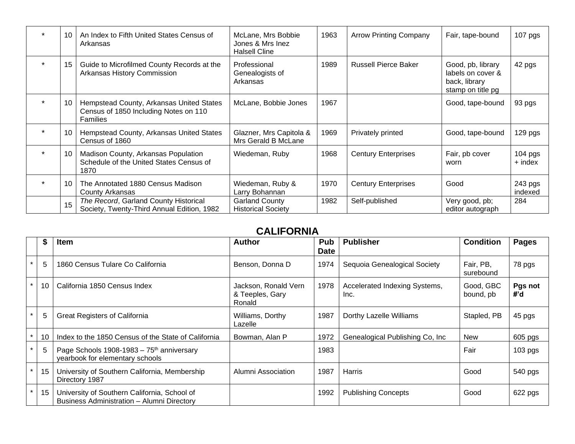| $\ddot{\phantom{0}}$ | 10 | An Index to Fifth United States Census of<br>Arkansas                                                | McLane, Mrs Bobbie<br>Jones & Mrs Inez<br><b>Halsell Cline</b> | 1963 | <b>Arrow Printing Company</b> | Fair, tape-bound                                                             | $107$ pgs            |
|----------------------|----|------------------------------------------------------------------------------------------------------|----------------------------------------------------------------|------|-------------------------------|------------------------------------------------------------------------------|----------------------|
| $\star$              | 15 | Guide to Microfilmed County Records at the<br>Arkansas History Commission                            | Professional<br>Genealogists of<br>Arkansas                    | 1989 | <b>Russell Pierce Baker</b>   | Good, pb, library<br>labels on cover &<br>back, library<br>stamp on title pg | 42 pgs               |
|                      | 10 | Hempstead County, Arkansas United States<br>Census of 1850 Including Notes on 110<br><b>Families</b> | McLane, Bobbie Jones                                           | 1967 |                               | Good, tape-bound                                                             | 93 pgs               |
|                      | 10 | Hempstead County, Arkansas United States<br>Census of 1860                                           | Glazner, Mrs Capitola &<br>Mrs Gerald B McLane                 | 1969 | Privately printed             | Good, tape-bound                                                             | 129 pgs              |
|                      | 10 | Madison County, Arkansas Population<br>Schedule of the United States Census of<br>1870               | Wiedeman, Ruby                                                 | 1968 | <b>Century Enterprises</b>    | Fair, pb cover<br>worn                                                       | $104$ pgs<br>+ index |
|                      | 10 | The Annotated 1880 Census Madison<br>County Arkansas                                                 | Wiedeman, Ruby &<br>Larry Bohannan                             | 1970 | <b>Century Enterprises</b>    | Good                                                                         | 243 pgs<br>indexed   |
|                      | 15 | The Record, Garland County Historical<br>Society, Twenty-Third Annual Edition, 1982                  | <b>Garland County</b><br><b>Historical Society</b>             | 1982 | Self-published                | Very good, pb;<br>editor autograph                                           | 284                  |

#### **CALIFORNIA**

|         |    | Item                                                                                       | <b>Author</b>                                     | <b>Pub</b><br><b>Date</b> | <b>Publisher</b>                      | <b>Condition</b>       | <b>Pages</b>   |
|---------|----|--------------------------------------------------------------------------------------------|---------------------------------------------------|---------------------------|---------------------------------------|------------------------|----------------|
| $\star$ | 5  | 1860 Census Tulare Co California                                                           | Benson, Donna D                                   | 1974                      | Sequoia Genealogical Society          | Fair, PB,<br>surebound | 78 pgs         |
|         | 10 | California 1850 Census Index                                                               | Jackson, Ronald Vern<br>& Teeples, Gary<br>Ronald | 1978                      | Accelerated Indexing Systems,<br>Inc. | Good, GBC<br>bound, pb | Pgs not<br>#'d |
|         | 5  | <b>Great Registers of California</b>                                                       | Williams, Dorthy<br>Lazelle                       | 1987                      | Dorthy Lazelle Williams               | Stapled, PB            | 45 pgs         |
|         | 10 | Index to the 1850 Census of the State of California                                        | Bowman, Alan P                                    | 1972                      | Genealogical Publishing Co, Inc.      | <b>New</b>             | 605 pgs        |
|         | 5  | Page Schools 1908-1983 - 75 <sup>th</sup> anniversary<br>yearbook for elementary schools   |                                                   | 1983                      |                                       | Fair                   | $103$ pgs      |
|         | 15 | University of Southern California, Membership<br>Directory 1987                            | Alumni Association                                | 1987                      | Harris                                | Good                   | 540 pgs        |
|         | 15 | University of Southern California, School of<br>Business Administration - Alumni Directory |                                                   | 1992                      | <b>Publishing Concepts</b>            | Good                   | 622 pgs        |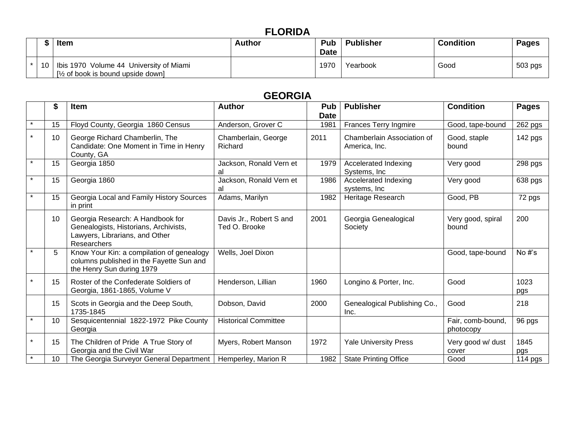# **FLORIDA**

|     | ltem                                                                                  | Author | <b>Pub</b><br><b>Date</b> | <b>Publisher</b> | <b>Condition</b> | <b>Pages</b> |
|-----|---------------------------------------------------------------------------------------|--------|---------------------------|------------------|------------------|--------------|
| -10 | Ibis 1970 Volume 44 University of Miami<br>$\frac{1}{2}$ of book is bound upside down |        | 1970                      | Yearbook         | Good             | 503 pgs      |

# **GEORGIA**

|         | \$ | <b>Item</b>                                                                                                                | <b>Author</b>                            | Pub<br><b>Date</b> | <b>Publisher</b>                            | <b>Condition</b>               | <b>Pages</b> |
|---------|----|----------------------------------------------------------------------------------------------------------------------------|------------------------------------------|--------------------|---------------------------------------------|--------------------------------|--------------|
| $\star$ | 15 | Floyd County, Georgia 1860 Census                                                                                          | Anderson, Grover C                       | 1981               | Frances Terry Ingmire                       | Good, tape-bound               | 262 pgs      |
|         | 10 | George Richard Chamberlin, The<br>Candidate: One Moment in Time in Henry<br>County, GA                                     | Chamberlain, George<br>Richard           | 2011               | Chamberlain Association of<br>America, Inc. | Good, staple<br>bound          | 142 pgs      |
| $\star$ | 15 | Georgia 1850                                                                                                               | Jackson, Ronald Vern et<br>al            | 1979               | Accelerated Indexing<br>Systems, Inc.       | Very good                      | 298 pgs      |
| $\star$ | 15 | Georgia 1860                                                                                                               | Jackson, Ronald Vern et<br>al            | 1986               | Accelerated Indexing<br>systems, Inc.       | Very good                      | 638 pgs      |
|         | 15 | Georgia Local and Family History Sources<br>in print                                                                       | Adams, Marilyn                           | 1982               | Heritage Research                           | Good, PB                       | 72 pgs       |
|         | 10 | Georgia Research: A Handbook for<br>Genealogists, Historians, Archivists,<br>Lawyers, Librarians, and Other<br>Researchers | Davis Jr., Robert S and<br>Ted O. Brooke | 2001               | Georgia Genealogical<br>Society             | Very good, spiral<br>bound     | 200          |
|         | 5  | Know Your Kin: a compilation of genealogy<br>columns published in the Fayette Sun and<br>the Henry Sun during 1979         | Wells, Joel Dixon                        |                    |                                             | Good, tape-bound               | No $#s$      |
|         | 15 | Roster of the Confederate Soldiers of<br>Georgia, 1861-1865, Volume V                                                      | Henderson, Lillian                       | 1960               | Longino & Porter, Inc.                      | Good                           | 1023<br>pgs  |
|         | 15 | Scots in Georgia and the Deep South,<br>1735-1845                                                                          | Dobson, David                            | 2000               | Genealogical Publishing Co.,<br>Inc.        | Good                           | 218          |
|         | 10 | Sesquicentennial 1822-1972 Pike County<br>Georgia                                                                          | <b>Historical Committee</b>              |                    |                                             | Fair, comb-bound,<br>photocopy | 96 pgs       |
| $\star$ | 15 | The Children of Pride A True Story of<br>Georgia and the Civil War                                                         | Myers, Robert Manson                     | 1972               | <b>Yale University Press</b>                | Very good w/ dust<br>cover     | 1845<br>pgs  |
|         | 10 | The Georgia Surveyor General Department                                                                                    | Hemperley, Marion R                      | 1982               | <b>State Printing Office</b>                | Good                           | 114 pgs      |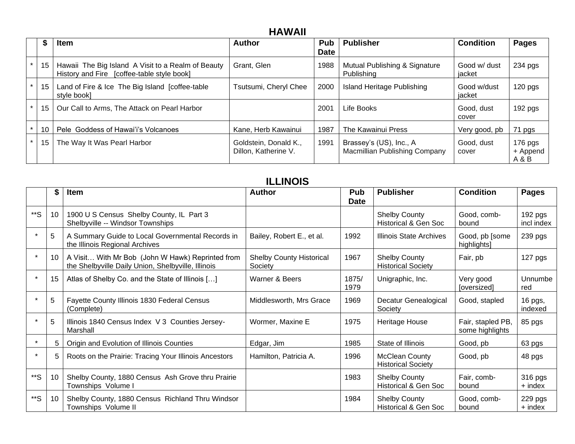# **HAWAII**

| л  | <b>Item</b>                                                                                      | <b>Author</b>                                 | <b>Pub</b>  | <b>Publisher</b>                                         | <b>Condition</b>       | Pages                        |
|----|--------------------------------------------------------------------------------------------------|-----------------------------------------------|-------------|----------------------------------------------------------|------------------------|------------------------------|
|    |                                                                                                  |                                               | <b>Date</b> |                                                          |                        |                              |
| 15 | Hawaii The Big Island A Visit to a Realm of Beauty<br>History and Fire [coffee-table style book] | Grant, Glen                                   | 1988        | Mutual Publishing & Signature<br>Publishing              | Good w/ dust<br>iacket | 234 pgs                      |
| 15 | Land of Fire & Ice The Big Island [coffee-table<br>style book]                                   | Tsutsumi, Cheryl Chee                         | 2000        | Island Heritage Publishing                               | Good w/dust<br>jacket  | $120$ pgs                    |
| 15 | Our Call to Arms, The Attack on Pearl Harbor                                                     |                                               | 2001        | Life Books                                               | Good, dust<br>cover    | $192$ pgs                    |
| 10 | Pele Goddess of Hawai'i's Volcanoes                                                              | Kane, Herb Kawainui                           | 1987        | The Kawainui Press                                       | Very good, pb          | 71 pgs                       |
| 15 | The Way It Was Pearl Harbor                                                                      | Goldstein, Donald K.,<br>Dillon, Katherine V. | 1991        | Brassey's (US), Inc., A<br>Macmillian Publishing Company | Good, dust<br>cover    | 176 pgs<br>+ Append<br>A & B |

# **ILLINOIS**

|         | \$ | Item                                                                                                   | <b>Author</b>                              | Pub<br><b>Date</b> | <b>Publisher</b>                                        | <b>Condition</b>                     | <b>Pages</b>            |
|---------|----|--------------------------------------------------------------------------------------------------------|--------------------------------------------|--------------------|---------------------------------------------------------|--------------------------------------|-------------------------|
| **S     | 10 | 1900 U S Census Shelby County, IL Part 3<br>Shelbyville -- Windsor Townships                           |                                            |                    | <b>Shelby County</b><br><b>Historical &amp; Gen Soc</b> | Good, comb-<br>bound                 | $192$ pgs<br>incl index |
| $\star$ | 5  | A Summary Guide to Local Governmental Records in<br>the Illinois Regional Archives                     | Bailey, Robert E., et al.                  | 1992               | Illinois State Archives                                 | Good, pb [some<br>highlights]        | 239 pgs                 |
| $\star$ | 10 | A Visit With Mr Bob (John W Hawk) Reprinted from<br>the Shelbyville Daily Union, Shelbyville, Illinois | <b>Shelby County Historical</b><br>Society | 1967               | <b>Shelby County</b><br><b>Historical Society</b>       | Fair, pb                             | 127 pgs                 |
| $\star$ | 15 | Atlas of Shelby Co. and the State of Illinois []                                                       | Warner & Beers                             | 1875/<br>1979      | Unigraphic, Inc.                                        | Very good<br>[oversized]             | Unnumbe<br>red          |
| $\star$ | 5  | Fayette County Illinois 1830 Federal Census<br>(Complete)                                              | Middlesworth, Mrs Grace                    | 1969               | Decatur Genealogical<br>Society                         | Good, stapled                        | 16 pgs,<br>indexed      |
|         | 5  | Illinois 1840 Census Index V 3 Counties Jersey-<br>Marshall                                            | Wormer, Maxine E                           | 1975               | Heritage House                                          | Fair, stapled PB,<br>some highlights | 85 pgs                  |
| $\star$ | 5  | Origin and Evolution of Illinois Counties                                                              | Edgar, Jim                                 | 1985               | State of Illinois                                       | Good, pb                             | 63 pgs                  |
|         | 5  | Roots on the Prairie: Tracing Your Illinois Ancestors                                                  | Hamilton, Patricia A.                      | 1996               | <b>McClean County</b><br><b>Historical Society</b>      | Good, pb                             | 48 pgs                  |
| **S     | 10 | Shelby County, 1880 Census Ash Grove thru Prairie<br>Townships Volume I                                |                                            | 1983               | <b>Shelby County</b><br><b>Historical &amp; Gen Soc</b> | Fair, comb-<br>bound                 | 316 pgs<br>+ index      |
| **S     | 10 | Shelby County, 1880 Census Richland Thru Windsor<br>Townships Volume II                                |                                            | 1984               | <b>Shelby County</b><br><b>Historical &amp; Gen Soc</b> | Good, comb-<br>bound                 | 229 pgs<br>+ index      |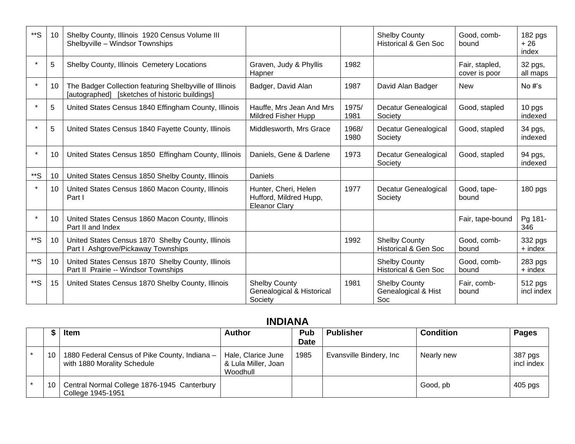| **S     | 10              | Shelby County, Illinois 1920 Census Volume III<br>Shelbyville - Windsor Townships                         |                                                                        |               | <b>Shelby County</b><br><b>Historical &amp; Gen Soc</b> | Good, comb-<br>bound            | 182 pgs<br>$+26$<br>index |
|---------|-----------------|-----------------------------------------------------------------------------------------------------------|------------------------------------------------------------------------|---------------|---------------------------------------------------------|---------------------------------|---------------------------|
| $\star$ | 5               | Shelby County, Illinois Cemetery Locations                                                                | Graven, Judy & Phyllis<br>Hapner                                       | 1982          |                                                         | Fair, stapled,<br>cover is poor | 32 pgs,<br>all maps       |
| $\star$ | 10              | The Badger Collection featuring Shelbyville of Illinois<br>[autographed] [sketches of historic buildings] | Badger, David Alan                                                     | 1987          | David Alan Badger                                       | <b>New</b>                      | No $#s$                   |
| $\star$ | 5               | United States Census 1840 Effingham County, Illinois                                                      | Hauffe, Mrs Jean And Mrs<br><b>Mildred Fisher Hupp</b>                 | 1975/<br>1981 | Decatur Genealogical<br>Society                         | Good, stapled                   | 10 pgs<br>indexed         |
| $\star$ | 5               | United States Census 1840 Fayette County, Illinois                                                        | Middlesworth, Mrs Grace                                                | 1968/<br>1980 | Decatur Genealogical<br>Society                         | Good, stapled                   | 34 pgs,<br>indexed        |
| $\star$ | 10              | United States Census 1850 Effingham County, Illinois                                                      | Daniels, Gene & Darlene                                                | 1973          | Decatur Genealogical<br>Society                         | Good, stapled                   | 94 pgs,<br>indexed        |
| $**S$   | 10 <sup>°</sup> | United States Census 1850 Shelby County, Illinois                                                         | Daniels                                                                |               |                                                         |                                 |                           |
| $\star$ | 10 <sup>°</sup> | United States Census 1860 Macon County, Illinois<br>Part I                                                | Hunter, Cheri, Helen<br>Hufford, Mildred Hupp,<br><b>Eleanor Clary</b> | 1977          | Decatur Genealogical<br>Society                         | Good, tape-<br>bound            | $180$ pgs                 |
| $\star$ | 10 <sup>°</sup> | United States Census 1860 Macon County, Illinois<br>Part II and Index                                     |                                                                        |               |                                                         | Fair, tape-bound                | Pg 181-<br>346            |
| **S     | 10 <sup>°</sup> | United States Census 1870 Shelby County, Illinois<br>Part I Ashgrove/Pickaway Townships                   |                                                                        | 1992          | <b>Shelby County</b><br><b>Historical &amp; Gen Soc</b> | Good, comb-<br>bound            | 332 pgs<br>+ index        |
| $**S$   | 10              | United States Census 1870 Shelby County, Illinois<br>Part II Prairie -- Windsor Townships                 |                                                                        |               | <b>Shelby County</b><br><b>Historical &amp; Gen Soc</b> | Good, comb-<br>bound            | 283 pgs<br>$+$ index      |
| **S     | 15              | United States Census 1870 Shelby County, Illinois                                                         | <b>Shelby County</b><br>Genealogical & Historical<br>Society           | 1981          | <b>Shelby County</b><br>Genealogical & Hist<br>Soc      | Fair, comb-<br>bound            | 512 pgs<br>incl index     |

### **INDIANA**

|    | <b>Item</b>                                                                  | <b>Author</b>                                         | Pub<br><b>Date</b> | <b>Publisher</b>        | <b>Condition</b> | Pages                 |
|----|------------------------------------------------------------------------------|-------------------------------------------------------|--------------------|-------------------------|------------------|-----------------------|
| 10 | 1880 Federal Census of Pike County, Indiana -<br>with 1880 Morality Schedule | Hale, Clarice June<br>& Lula Miller, Joan<br>Woodhull | 1985               | Evansville Bindery, Inc | Nearly new       | 387 pgs<br>incl index |
| 10 | Central Normal College 1876-1945 Canterbury<br>College 1945-1951             |                                                       |                    |                         | Good, pb         | $405$ pgs             |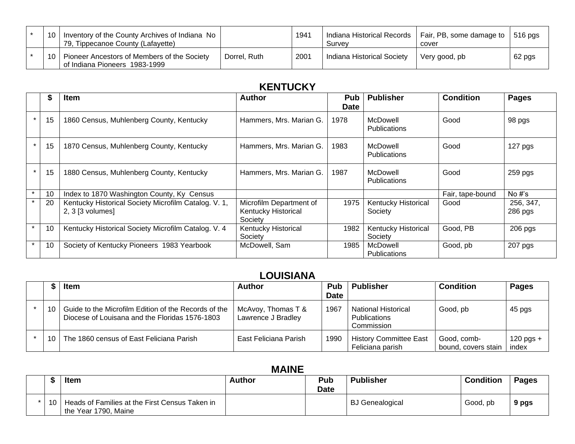| 10 | Inventory of the County Archives of Indiana No<br>79, Tippecanoe County (Lafayette) |              | 1941 | Indiana Historical Records<br>Survey | Fair, PB, some damage to<br>cover | 516 pgs |
|----|-------------------------------------------------------------------------------------|--------------|------|--------------------------------------|-----------------------------------|---------|
| 10 | Pioneer Ancestors of Members of the Society<br>of Indiana Pioneers 1983-1999        | Dorrel, Ruth | 2001 | Indiana Historical Society           | Very good, pb                     | 62 pgs  |

# **KENTUCKY**

|         |    | Item                                                                     | Author                                                    | <b>Pub</b><br><b>Date</b> | <b>Publisher</b>                      | <b>Condition</b> | <b>Pages</b>           |
|---------|----|--------------------------------------------------------------------------|-----------------------------------------------------------|---------------------------|---------------------------------------|------------------|------------------------|
|         | 15 | 1860 Census, Muhlenberg County, Kentucky                                 | Hammers, Mrs. Marian G.                                   | 1978                      | McDowell<br><b>Publications</b>       | Good             | 98 pgs                 |
| $\star$ | 15 | 1870 Census, Muhlenberg County, Kentucky                                 | Hammers, Mrs. Marian G.                                   | 1983                      | McDowell<br><b>Publications</b>       | Good             | 127 pgs                |
| $\star$ | 15 | 1880 Census, Muhlenberg County, Kentucky                                 | Hammers, Mrs. Marian G.                                   | 1987                      | McDowell<br><b>Publications</b>       | Good             | 259 pgs                |
| $\star$ | 10 | Index to 1870 Washington County, Ky Census                               |                                                           |                           |                                       | Fair, tape-bound | No $#s$                |
| $\star$ | 20 | Kentucky Historical Society Microfilm Catalog. V. 1,<br>2, 3 [3 volumes] | Microfilm Department of<br>Kentucky Historical<br>Society | 1975                      | <b>Kentucky Historical</b><br>Society | Good             | 256, 347,<br>$286$ pgs |
|         | 10 | Kentucky Historical Society Microfilm Catalog. V. 4                      | Kentucky Historical<br>Society                            | 1982                      | <b>Kentucky Historical</b><br>Society | Good, PB         | $206$ pgs              |
| $\star$ | 10 | Society of Kentucky Pioneers 1983 Yearbook                               | McDowell, Sam                                             | 1985                      | McDowell<br><b>Publications</b>       | Good, pb         | 207 pgs                |

# **LOUISIANA**

|    | <b>Item</b>                                                                                            | <b>Author</b>                            | <b>Pub</b>  | <b>Publisher</b>                                                | <b>Condition</b>                   | <b>Pages</b>         |
|----|--------------------------------------------------------------------------------------------------------|------------------------------------------|-------------|-----------------------------------------------------------------|------------------------------------|----------------------|
|    |                                                                                                        |                                          | <b>Date</b> |                                                                 |                                    |                      |
| 10 | Guide to the Microfilm Edition of the Records of the<br>Diocese of Louisana and the Floridas 1576-1803 | McAvoy, Thomas T &<br>Lawrence J Bradley | 1967        | <b>National Historical</b><br><b>Publications</b><br>Commission | Good, pb                           | 45 pgs               |
| 10 | The 1860 census of East Feliciana Parish                                                               | East Feliciana Parish                    | 1990        | <b>History Committee East</b><br>Feliciana parish               | Good, comb-<br>bound, covers stain | $120$ pgs +<br>index |

### **MAINE**

|                 | <b>Item</b>                                                            | <b>Author</b> | Pub<br><b>Date</b> | <b>Publisher</b>       | <b>Condition</b> | Pages |
|-----------------|------------------------------------------------------------------------|---------------|--------------------|------------------------|------------------|-------|
| 10 <sup>1</sup> | Heads of Families at the First Census Taken in<br>the Year 1790, Maine |               |                    | <b>BJ</b> Genealogical | Good, pb         | 9 pgs |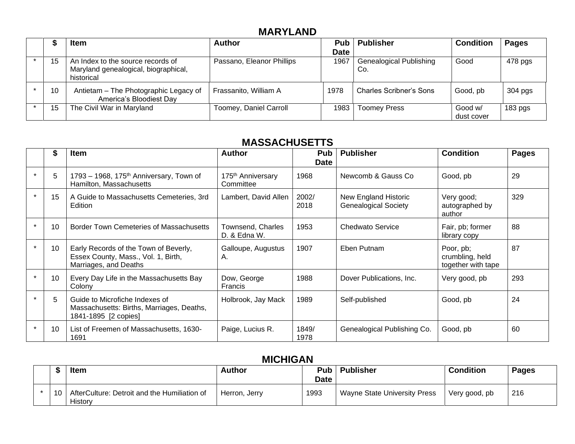## **MARYLAND**

|    | <b>Item</b>                                                                             | <b>Author</b>             | Pub <sub>1</sub> | <b>Publisher</b>                      | <b>Condition</b>      | <b>Pages</b> |
|----|-----------------------------------------------------------------------------------------|---------------------------|------------------|---------------------------------------|-----------------------|--------------|
|    |                                                                                         |                           | <b>Date</b>      |                                       |                       |              |
| 15 | An Index to the source records of<br>Maryland genealogical, biographical,<br>historical | Passano, Eleanor Phillips | 1967             | <b>Genealogical Publishing</b><br>Co. | Good                  | 478 pgs      |
| 10 | Antietam - The Photographic Legacy of<br>America's Bloodiest Day                        | Frassanito, William A     | 1978             | <b>Charles Scribner's Sons</b>        | Good, pb              | 304 pgs      |
| 15 | The Civil War in Maryland                                                               | Toomey, Daniel Carroll    | 1983             | <b>Toomey Press</b>                   | Good w/<br>dust cover | $183$ pgs    |

### **MASSACHUSETTS**

| \$              | <b>Item</b>                                                                                           | <b>Author</b>                              | <b>Pub</b><br><b>Date</b> | <b>Publisher</b>                                    | <b>Condition</b>                                   | <b>Pages</b> |
|-----------------|-------------------------------------------------------------------------------------------------------|--------------------------------------------|---------------------------|-----------------------------------------------------|----------------------------------------------------|--------------|
| 5               | 1793 – 1968, 175 <sup>th</sup> Anniversary, Town of<br>Hamilton, Massachusetts                        | 175 <sup>th</sup> Anniversary<br>Committee | 1968                      | Newcomb & Gauss Co                                  | Good, pb                                           | 29           |
| 15              | A Guide to Massachusetts Cemeteries, 3rd<br>Edition                                                   | Lambert, David Allen                       | 2002/<br>2018             | New England Historic<br><b>Genealogical Society</b> | Very good;<br>autographed by<br>author             | 329          |
| 10              | <b>Border Town Cemeteries of Massachusetts</b>                                                        | Townsend, Charles<br>D. & Edna W.          | 1953                      | <b>Chedwato Service</b>                             | Fair, pb; former<br>library copy                   | 88           |
| 10              | Early Records of the Town of Beverly,<br>Essex County, Mass., Vol. 1, Birth,<br>Marriages, and Deaths | Galloupe, Augustus<br>А.                   | 1907                      | Eben Putnam                                         | Poor, pb;<br>crumbling, held<br>together with tape | 87           |
| 10 <sup>°</sup> | Every Day Life in the Massachusetts Bay<br>Colony                                                     | Dow, George<br>Francis                     | 1988                      | Dover Publications, Inc.                            | Very good, pb                                      | 293          |
| 5               | Guide to Microfiche Indexes of<br>Massachusetts: Births, Marriages, Deaths,<br>1841-1895 [2 copies]   | Holbrook, Jay Mack                         | 1989                      | Self-published                                      | Good, pb                                           | 24           |
| 10              | List of Freemen of Massachusetts, 1630-<br>1691                                                       | Paige, Lucius R.                           | 1849/<br>1978             | Genealogical Publishing Co.                         | Good, pb                                           | 60           |

## **MICHIGAN**

|    | <b>Item</b>                                             | <b>Author</b> | Pub l<br>Date | <b>Publisher</b>             | <b>Condition</b> | <b>Pages</b> |
|----|---------------------------------------------------------|---------------|---------------|------------------------------|------------------|--------------|
| 10 | AfterCulture: Detroit and the Humiliation of<br>History | Herron, Jerry | 1993          | Wayne State University Press | Very good, pb    | 216          |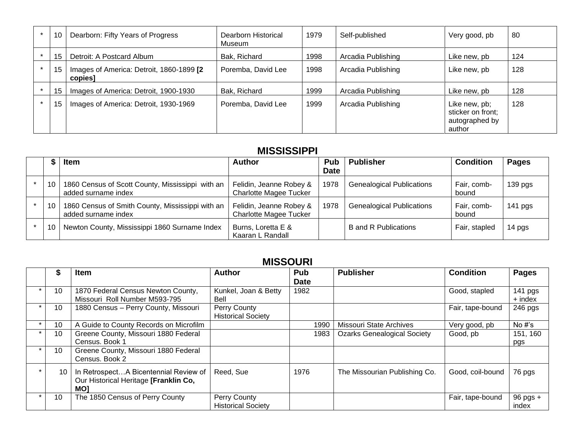| 10 | Dearborn: Fifty Years of Progress                    | Dearborn Historical<br>Museum | 1979 | Self-published     | Very good, pb                                                  | 80  |
|----|------------------------------------------------------|-------------------------------|------|--------------------|----------------------------------------------------------------|-----|
| 15 | Detroit: A Postcard Album                            | Bak, Richard                  | 1998 | Arcadia Publishing | Like new, pb                                                   | 124 |
| 15 | Images of America: Detroit, 1860-1899 [2]<br>copies] | Poremba, David Lee            | 1998 | Arcadia Publishing | Like new, pb                                                   | 128 |
| 15 | Images of America: Detroit, 1900-1930                | Bak, Richard                  | 1999 | Arcadia Publishing | Like new, pb                                                   | 128 |
| 15 | Images of America: Detroit, 1930-1969                | Poremba, David Lee            | 1999 | Arcadia Publishing | Like new, pb;<br>sticker on front;<br>autographed by<br>author | 128 |

#### **MISSISSIPPI**

|    | <b>Item</b>                                                             | <b>Author</b>                                            | Pub<br><b>Date</b> | <b>Publisher</b>                 | <b>Condition</b>     | <b>Pages</b>       |  |  |  |  |  |
|----|-------------------------------------------------------------------------|----------------------------------------------------------|--------------------|----------------------------------|----------------------|--------------------|--|--|--|--|--|
| 10 | 1860 Census of Scott County, Mississippi with an<br>added surname index | Felidin, Jeanne Robey &<br><b>Charlotte Magee Tucker</b> | 1978               | <b>Genealogical Publications</b> | Fair, comb-<br>bound | 139 <sub>pgs</sub> |  |  |  |  |  |
| 10 | 1860 Census of Smith County, Mississippi with an<br>added surname index | Felidin, Jeanne Robey &<br><b>Charlotte Magee Tucker</b> | 1978               | <b>Genealogical Publications</b> | Fair, comb-<br>bound | $141$ pgs          |  |  |  |  |  |
| 10 | Newton County, Mississippi 1860 Surname Index                           | Burns, Loretta E &<br>Kaaran L Randall                   |                    | <b>B</b> and R Publications      | Fair, stapled        | 14 pgs             |  |  |  |  |  |

#### **MISSOURI**

|         | ъ               | <b>Item</b>                                                                                  | <b>Author</b>                             | Pub<br><b>Date</b> | <b>Publisher</b>                   | <b>Condition</b> | <b>Pages</b>          |
|---------|-----------------|----------------------------------------------------------------------------------------------|-------------------------------------------|--------------------|------------------------------------|------------------|-----------------------|
|         | 10 <sup>1</sup> | 1870 Federal Census Newton County,<br>Missouri Roll Number M593-795                          | Kunkel, Joan & Betty<br>Bell              | 1982               |                                    | Good, stapled    | 141 pgs<br>$+$ index  |
|         | 10              | 1880 Census - Perry County, Missouri                                                         | Perry County<br><b>Historical Society</b> |                    |                                    | Fair, tape-bound | $246$ pgs             |
| $\star$ | 10              | A Guide to County Records on Microfilm                                                       |                                           | 1990               | <b>Missouri State Archives</b>     | Very good, pb    | No $#s$               |
|         | 10              | Greene County, Missouri 1880 Federal<br>Census. Book 1                                       |                                           | 1983               | <b>Ozarks Genealogical Society</b> | Good, pb         | 151, 160<br>pgs       |
|         | 10              | Greene County, Missouri 1880 Federal<br>Census. Book 2                                       |                                           |                    |                                    |                  |                       |
|         | 10              | In RetrospectA Bicentennial Review of<br>Our Historical Heritage [Franklin Co,<br><b>MOI</b> | Reed, Sue                                 | 1976               | The Missourian Publishing Co.      | Good, coil-bound | 76 pgs                |
|         | 10              | The 1850 Census of Perry County                                                              | Perry County<br><b>Historical Society</b> |                    |                                    | Fair, tape-bound | $96$ pgs $+$<br>index |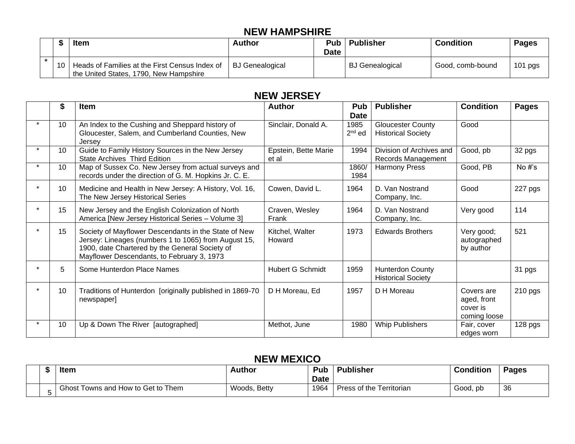### **NEW HAMPSHIRE**

|    | ltem                                                                                     | <b>Author</b>   | <b>Date</b> | <b>Pub</b>   Publisher | <b>Condition</b> | Pages     |
|----|------------------------------------------------------------------------------------------|-----------------|-------------|------------------------|------------------|-----------|
| 10 | Heads of Families at the First Census Index of<br>the United States, 1790, New Hampshire | BJ Genealogical |             | <b>BJ</b> Genealogical | Good, comb-bound | $101$ pgs |

#### **NEW JERSEY**

| \$ | <b>Item</b>                                                                                                                                                                                                  | <b>Author</b>                 | Pub<br><b>Date</b> | <b>Publisher</b>                                      | <b>Condition</b>                                      | <b>Pages</b> |
|----|--------------------------------------------------------------------------------------------------------------------------------------------------------------------------------------------------------------|-------------------------------|--------------------|-------------------------------------------------------|-------------------------------------------------------|--------------|
| 10 | An Index to the Cushing and Sheppard history of<br>Gloucester, Salem, and Cumberland Counties, New<br>Jersey                                                                                                 | Sinclair, Donald A.           | 1985<br>$2nd$ ed   | <b>Gloucester County</b><br><b>Historical Society</b> | Good                                                  |              |
| 10 | Guide to Family History Sources in the New Jersey<br>State Archives Third Edition                                                                                                                            | Epstein, Bette Marie<br>et al | 1994               | Division of Archives and<br>Records Management        | Good, pb                                              | 32 pgs       |
| 10 | Map of Sussex Co. New Jersey from actual surveys and<br>records under the direction of G. M. Hopkins Jr. C. E.                                                                                               |                               | 1860/<br>1984      | <b>Harmony Press</b>                                  | Good, PB                                              | No $#s$      |
| 10 | Medicine and Health in New Jersey: A History, Vol. 16,<br>The New Jersey Historical Series                                                                                                                   | Cowen, David L.               | 1964               | D. Van Nostrand<br>Company, Inc.                      | Good                                                  | 227 pgs      |
| 15 | New Jersey and the English Colonization of North<br>America [New Jersey Historical Series - Volume 3]                                                                                                        | Craven, Wesley<br>Frank       | 1964               | D. Van Nostrand<br>Company, Inc.                      | Very good                                             | 114          |
| 15 | Society of Mayflower Descendants in the State of New<br>Jersey: Lineages (numbers 1 to 1065) from August 15,<br>1900, date Chartered by the General Society of<br>Mayflower Descendants, to February 3, 1973 | Kitchel, Walter<br>Howard     | 1973               | <b>Edwards Brothers</b>                               | Very good;<br>autographed<br>by author                | 521          |
| 5  | Some Hunterdon Place Names                                                                                                                                                                                   | <b>Hubert G Schmidt</b>       | 1959               | <b>Hunterdon County</b><br><b>Historical Society</b>  |                                                       | 31 pgs       |
| 10 | Traditions of Hunterdon [originally published in 1869-70<br>newspaper]                                                                                                                                       | D H Moreau, Ed                | 1957               | D H Moreau                                            | Covers are<br>aged, front<br>cover is<br>coming loose | 210 pgs      |
| 10 | Up & Down The River [autographed]                                                                                                                                                                            | Methot, June                  | 1980               | <b>Whip Publishers</b>                                | Fair, cover<br>edges worn                             | 128 pgs      |

#### **NEW MEXICO**

|  | Item                               | Author       | <b>Pub</b><br><b>Date</b> | <b>Publisher</b>         | <b>Condition</b> | <b>Pages</b> |
|--|------------------------------------|--------------|---------------------------|--------------------------|------------------|--------------|
|  | Ghost Towns and How to Get to Them | Woods, Betty | 1964                      | Press of the Territorian | Good, pb         | -36          |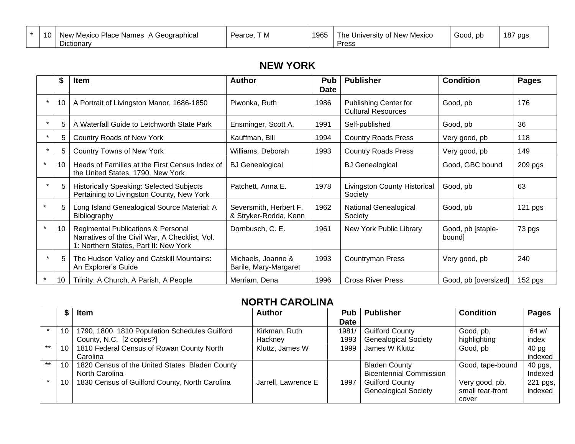| $\overline{10}$<br>$\mathbf{u}$ | ' Mexico<br>Place Names<br>New '<br>A Geographical<br>Dictionary | T M<br>Pearce, | 1965 | University of New Mexico<br>l he<br>Press | Good, pb | 187 pgs |
|---------------------------------|------------------------------------------------------------------|----------------|------|-------------------------------------------|----------|---------|
|---------------------------------|------------------------------------------------------------------|----------------|------|-------------------------------------------|----------|---------|

#### **NEW YORK**

|        | Item                                                                                                                                     | <b>Author</b>                                   | Pub<br><b>Date</b> | <b>Publisher</b>                                          | <b>Condition</b>            | <b>Pages</b> |
|--------|------------------------------------------------------------------------------------------------------------------------------------------|-------------------------------------------------|--------------------|-----------------------------------------------------------|-----------------------------|--------------|
| 10     | A Portrait of Livingston Manor, 1686-1850                                                                                                | Piwonka, Ruth                                   | 1986               | <b>Publishing Center for</b><br><b>Cultural Resources</b> | Good, pb                    | 176          |
| 5.     | A Waterfall Guide to Letchworth State Park                                                                                               | Ensminger, Scott A.                             | 1991               | Self-published                                            | Good, pb                    | 36           |
| 5      | Country Roads of New York                                                                                                                | Kauffman, Bill                                  | 1994               | <b>Country Roads Press</b>                                | Very good, pb               | 118          |
| 5.     | Country Towns of New York                                                                                                                | Williams, Deborah                               | 1993               | <b>Country Roads Press</b>                                | Very good, pb               | 149          |
| 10     | Heads of Families at the First Census Index of<br>the United States, 1790, New York                                                      | <b>BJ</b> Genealogical                          |                    | <b>BJ</b> Genealogical                                    | Good, GBC bound             | 209 pgs      |
| 5      | <b>Historically Speaking: Selected Subjects</b><br>Pertaining to Livingston County, New York                                             | Patchett, Anna E.                               | 1978               | <b>Livingston County Historical</b><br>Society            | Good, pb                    | 63           |
| 5      | Long Island Genealogical Source Material: A<br>Bibliography                                                                              | Seversmith, Herbert F.<br>& Stryker-Rodda, Kenn | 1962               | National Genealogical<br>Society                          | Good, pb                    | 121 pgs      |
| 10     | <b>Regimental Publications &amp; Personal</b><br>Narratives of the Civil War, A Checklist, Vol.<br>1: Northern States, Part II: New York | Dornbusch, C. E.                                | 1961               | New York Public Library                                   | Good, pb [staple-<br>bound] | 73 pgs       |
| 5      | The Hudson Valley and Catskill Mountains:<br>An Explorer's Guide                                                                         | Michaels, Joanne &<br>Barile, Mary-Margaret     | 1993               | <b>Countryman Press</b>                                   | Very good, pb               | 240          |
| $10-1$ | Trinity: A Church, A Parish, A People                                                                                                    | Merriam, Dena                                   | 1996               | <b>Cross River Press</b>                                  | Good, pb [oversized]        | $152$ pgs    |

#### **NORTH CAROLINA**

|       | ക - | Item                                           | <b>Author</b>       | <b>Pub</b>  | <b>Publisher</b>               | <b>Condition</b> | Pages    |
|-------|-----|------------------------------------------------|---------------------|-------------|--------------------------------|------------------|----------|
|       |     |                                                |                     | <b>Date</b> |                                |                  |          |
|       | 10  | 1790, 1800, 1810 Population Schedules Guilford | Kirkman, Ruth       | 1981/       | <b>Guilford County</b>         | Good, pb,        | 64 w/    |
|       |     | County, N.C. [2 copies?]                       | Hackney             | 1993        | <b>Genealogical Society</b>    | highlighting     | index    |
| $***$ | 10  | 1810 Federal Census of Rowan County North      | Kluttz, James W     | 1999        | James W Kluttz                 | Good, pb         | 40 pg    |
|       |     | Carolina                                       |                     |             |                                |                  | indexed  |
| $***$ | 10  | 1820 Census of the United States Bladen County |                     |             | <b>Bladen County</b>           | Good, tape-bound | 40 pgs,  |
|       |     | North Carolina                                 |                     |             | <b>Bicentennial Commission</b> |                  | Indexed  |
|       | 10  | 1830 Census of Guilford County, North Carolina | Jarrell, Lawrence E | 1997        | <b>Guilford County</b>         | Very good, pb,   | 221 pgs, |
|       |     |                                                |                     |             | <b>Genealogical Society</b>    | small tear-front | indexed  |
|       |     |                                                |                     |             |                                | cover            |          |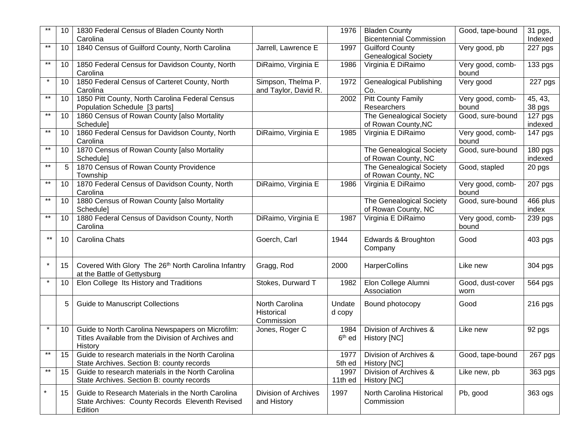|                 | 10              | 1830 Federal Census of Bladen County North<br>Carolina                                                            |                                            | 1976                       | <b>Bladen County</b><br><b>Bicentennial Commission</b> | Good, tape-bound          | 31 pgs,<br>Indexed   |
|-----------------|-----------------|-------------------------------------------------------------------------------------------------------------------|--------------------------------------------|----------------------------|--------------------------------------------------------|---------------------------|----------------------|
| $***$           | 10              | 1840 Census of Guilford County, North Carolina                                                                    | Jarrell, Lawrence E                        | 1997                       | <b>Guilford County</b><br><b>Genealogical Society</b>  | Very good, pb             | 227 pgs              |
| $\star\star$    | 10              | 1850 Federal Census for Davidson County, North<br>Carolina                                                        | DiRaimo, Virginia E                        | 1986                       | Virginia E DiRaimo                                     | Very good, comb-<br>bound | 133 pgs              |
| $\star$         | 10              | 1850 Federal Census of Carteret County, North<br>Carolina                                                         | Simpson, Thelma P.<br>and Taylor, David R. | 1972                       | <b>Genealogical Publishing</b><br>Co.                  | Very good                 | $\overline{227}$ pgs |
| $^{\star\star}$ | 10 <sup>°</sup> | 1850 Pitt County, North Carolina Federal Census<br>Population Schedule [3 parts]                                  |                                            | 2002                       | <b>Pitt County Family</b><br>Researchers               | Very good, comb-<br>bound | 45, 43,<br>38 pgs    |
| $^{\star\star}$ | 10 <sup>°</sup> | 1860 Census of Rowan County [also Mortality<br>Schedule]                                                          |                                            |                            | The Genealogical Society<br>of Rowan County, NC        | Good, sure-bound          | 127 pgs<br>indexed   |
| $***$           | 10 <sup>°</sup> | 1860 Federal Census for Davidson County, North<br>Carolina                                                        | DiRaimo, Virginia E                        | 1985                       | Virginia E DiRaimo                                     | Very good, comb-<br>bound | 147 pgs              |
| $***$           | 10 <sup>°</sup> | 1870 Census of Rowan County [also Mortality<br>Schedule]                                                          |                                            |                            | The Genealogical Society<br>of Rowan County, NC        | Good, sure-bound          | 180 pgs<br>indexed   |
| $^{\star\star}$ | $5\overline{)}$ | 1870 Census of Rowan County Providence<br>Township                                                                |                                            |                            | The Genealogical Society<br>of Rowan County, NC        | Good, stapled             | 20 pgs               |
| $***$           | 10 <sup>°</sup> | 1870 Federal Census of Davidson County, North<br>Carolina                                                         | DiRaimo, Virginia E                        | 1986                       | Virginia E DiRaimo                                     | Very good, comb-<br>bound | 207 pgs              |
| $***$           | 10 <sup>°</sup> | 1880 Census of Rowan County [also Mortality<br>Schedule]                                                          |                                            |                            | The Genealogical Society<br>of Rowan County, NC        | Good, sure-bound          | 466 plus<br>index    |
| $***$           | 10              | 1880 Federal Census of Davidson County, North<br>Carolina                                                         | DiRaimo, Virginia E                        | 1987                       | Virginia E DiRaimo                                     | Very good, comb-<br>bound | 239 pgs              |
| $***$           | 10              | Carolina Chats                                                                                                    | Goerch, Carl                               | 1944                       | Edwards & Broughton<br>Company                         | Good                      | 403 pgs              |
| $\star$         | 15              | Covered With Glory The 26th North Carolina Infantry<br>at the Battle of Gettysburg                                | Gragg, Rod                                 | 2000                       | HarperCollins                                          | Like new                  | 304 pgs              |
|                 | 10              | Elon College Its History and Traditions                                                                           | Stokes, Durward T                          | 1982                       | Elon College Alumni<br>Association                     | Good, dust-cover<br>worn  | 564 pgs              |
|                 | 5.              | <b>Guide to Manuscript Collections</b>                                                                            | North Carolina<br>Historical<br>Commission | Undate<br>d copy           | Bound photocopy                                        | Good                      | 216 pgs              |
| $\star$         | 10              | Guide to North Carolina Newspapers on Microfilm:<br>Titles Available from the Division of Archives and<br>History | Jones, Roger C                             | 1984<br>6 <sup>th</sup> ed | Division of Archives &<br>History [NC]                 | Like new                  | 92 pgs               |
| $***$           | 15              | Guide to research materials in the North Carolina<br>State Archives. Section B: county records                    |                                            | 1977<br>5th ed             | Division of Archives &<br>History [NC]                 | Good, tape-bound          | 267 pgs              |
| $***$           | 15              | Guide to research materials in the North Carolina<br>State Archives. Section B: county records                    |                                            | 1997<br>11th ed            | Division of Archives &<br>History [NC]                 | Like new, pb              | 363 pgs              |
| $\star$         | 15              | Guide to Research Materials in the North Carolina<br>State Archives: County Records Eleventh Revised<br>Edition   | <b>Division of Archives</b><br>and History | 1997                       | North Carolina Historical<br>Commission                | Pb, good                  | 363 ogs              |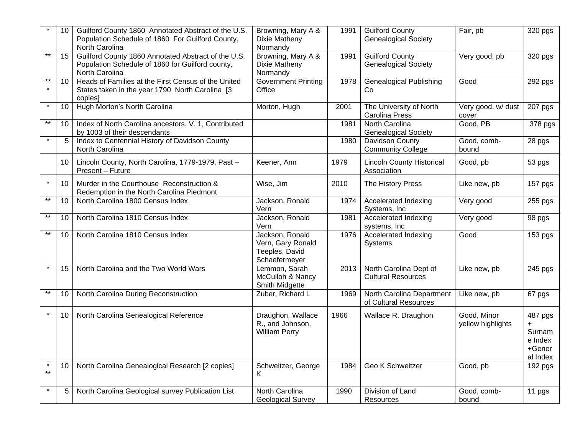|                  | 10 | Guilford County 1860 Annotated Abstract of the U.S.<br>Population Schedule of 1860 For Guilford County,<br>North Carolina | Browning, Mary A &<br>Dixie Matheny<br>Normandy                         | 1991 | <b>Guilford County</b><br><b>Genealogical Society</b> | Fair, pb                         | $320$ pgs                                          |
|------------------|----|---------------------------------------------------------------------------------------------------------------------------|-------------------------------------------------------------------------|------|-------------------------------------------------------|----------------------------------|----------------------------------------------------|
| $***$            | 15 | Guilford County 1860 Annotated Abstract of the U.S.<br>Population Schedule of 1860 for Guilford county,<br>North Carolina | Browning, Mary A &<br>Dixie Matheny<br>Normandy                         | 1991 | <b>Guilford County</b><br><b>Genealogical Society</b> | Very good, pb                    | 320 pgs                                            |
| $***$<br>$\star$ | 10 | Heads of Families at the First Census of the United<br>States taken in the year 1790 North Carolina [3<br>copies]         | <b>Government Printing</b><br>Office                                    | 1978 | <b>Genealogical Publishing</b><br>Co                  | Good                             | 292 pgs                                            |
| $\star$          | 10 | Hugh Morton's North Carolina                                                                                              | Morton, Hugh                                                            | 2001 | The University of North<br><b>Carolina Press</b>      | Very good, w/ dust<br>cover      | 207 pgs                                            |
| $***$            | 10 | Index of North Carolina ancestors. V. 1, Contributed<br>by 1003 of their descendants                                      |                                                                         | 1981 | North Carolina<br><b>Genealogical Society</b>         | Good, PB                         | 378 pgs                                            |
| $\star$          | 5  | Index to Centennial History of Davidson County<br>North Carolina                                                          |                                                                         | 1980 | Davidson County<br><b>Community College</b>           | Good, comb-<br>bound             | 28 pgs                                             |
|                  | 10 | Lincoln County, North Carolina, 1779-1979, Past-<br>Present - Future                                                      | Keener, Ann                                                             | 1979 | <b>Lincoln County Historical</b><br>Association       | Good, pb                         | 53 pgs                                             |
| $\star$          | 10 | Murder in the Courthouse Reconstruction &<br>Redemption in the North Carolina Piedmont                                    | Wise, Jim                                                               | 2010 | The History Press                                     | Like new, pb                     | 157 pgs                                            |
| $***$            | 10 | North Carolina 1800 Census Index                                                                                          | Jackson, Ronald<br>Vern                                                 | 1974 | <b>Accelerated Indexing</b><br>Systems, Inc           | Very good                        | 255 pgs                                            |
| $***$            | 10 | North Carolina 1810 Census Index                                                                                          | Jackson, Ronald<br>Vern                                                 | 1981 | <b>Accelerated Indexing</b><br>systems, Inc           | Very good                        | 98 pgs                                             |
| **               | 10 | North Carolina 1810 Census Index                                                                                          | Jackson, Ronald<br>Vern, Gary Ronald<br>Teeples, David<br>Schaefermeyer | 1976 | Accelerated Indexing<br>Systems                       | Good                             | 153 pgs                                            |
| $\star$          | 15 | North Carolina and the Two World Wars                                                                                     | Lemmon, Sarah<br>McCulloh & Nancy<br>Smith Midgette                     | 2013 | North Carolina Dept of<br><b>Cultural Resources</b>   | Like new, pb                     | 245 pgs                                            |
| $\star\star$     | 10 | North Carolina During Reconstruction                                                                                      | Zuber, Richard L                                                        | 1969 | North Carolina Department<br>of Cultural Resources    | Like new, pb                     | 67 pgs                                             |
| $\star$          | 10 | North Carolina Genealogical Reference                                                                                     | Draughon, Wallace<br>R., and Johnson,<br><b>William Perry</b>           | 1966 | Wallace R. Draughon                                   | Good, Minor<br>yellow highlights | 487 pgs<br>Surnam<br>e Index<br>+Gener<br>al Index |
| $***$            | 10 | North Carolina Genealogical Research [2 copies]                                                                           | Schweitzer, George<br>K                                                 | 1984 | Geo K Schweitzer                                      | Good, pb                         | 192 pgs                                            |
|                  | 5. | North Carolina Geological survey Publication List                                                                         | North Carolina<br><b>Geological Survey</b>                              | 1990 | Division of Land<br>Resources                         | Good, comb-<br>bound             | 11 pgs                                             |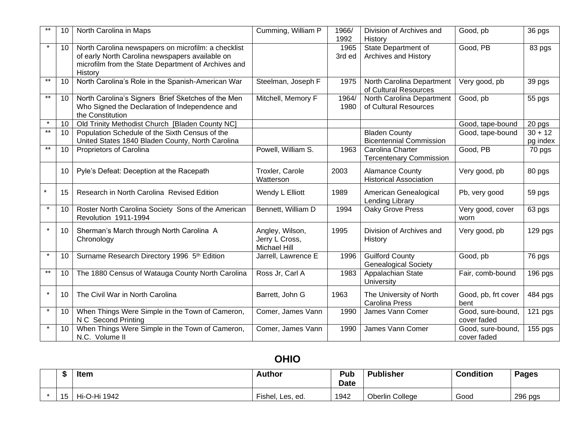|                 | 10 <sup>1</sup> | North Carolina in Maps                                                                                                                                                   | Cumming, William P                                       | 1966/<br>1992  | Division of Archives and<br>History                     | Good, pb                         | 36 pgs                |
|-----------------|-----------------|--------------------------------------------------------------------------------------------------------------------------------------------------------------------------|----------------------------------------------------------|----------------|---------------------------------------------------------|----------------------------------|-----------------------|
| $\star$         | $10-1$          | North Carolina newspapers on microfilm: a checklist<br>of early North Carolina newspapers available on<br>microfilm from the State Department of Archives and<br>History |                                                          | 1965<br>3rd ed | State Department of<br>Archives and History             | Good, PB                         | 83 pgs                |
| $***$           | 10              | North Carolina's Role in the Spanish-American War                                                                                                                        | Steelman, Joseph F                                       | 1975           | North Carolina Department<br>of Cultural Resources      | Very good, pb                    | 39 pgs                |
| $***$           | 10              | North Carolina's Signers Brief Sketches of the Men<br>Who Signed the Declaration of Independence and<br>the Constitution                                                 | Mitchell, Memory F                                       | 1964/<br>1980  | North Carolina Department<br>of Cultural Resources      | Good, pb                         | 55 pgs                |
| $\star$         | 10 <sup>1</sup> | Old Trinity Methodist Church [Bladen County NC]                                                                                                                          |                                                          |                |                                                         | Good, tape-bound                 | 20 pgs                |
| $***$           | $10-1$          | Population Schedule of the Sixth Census of the<br>United States 1840 Bladen County, North Carolina                                                                       |                                                          |                | <b>Bladen County</b><br><b>Bicentennial Commission</b>  | Good, tape-bound                 | $30 + 12$<br>pg index |
| $^{\star\star}$ | 10 <sup>1</sup> | Proprietors of Carolina                                                                                                                                                  | Powell, William S.                                       | 1963           | Carolina Charter<br><b>Tercentenary Commission</b>      | Good, PB                         | 70 pgs                |
|                 | 10              | Pyle's Defeat: Deception at the Racepath                                                                                                                                 | Troxler, Carole<br>Watterson                             | 2003           | <b>Alamance County</b><br><b>Historical Association</b> | Very good, pb                    | 80 pgs                |
|                 | 15              | Research in North Carolina Revised Edition                                                                                                                               | Wendy L Elliott                                          | 1989           | American Genealogical<br>Lending Library                | Pb, very good                    | 59 pgs                |
| $\star$         | 10              | Roster North Carolina Society Sons of the American<br>Revolution 1911-1994                                                                                               | Bennett, William D                                       | 1994           | Oaky Grove Press                                        | Very good, cover<br>worn         | 63 pgs                |
| $\star$         | 10              | Sherman's March through North Carolina A<br>Chronology                                                                                                                   | Angley, Wilson,<br>Jerry L Cross,<br><b>Michael Hill</b> | 1995           | Division of Archives and<br>History                     | Very good, pb                    | 129 pgs               |
| $\star$         | 10              | Surname Research Directory 1996 5th Edition                                                                                                                              | Jarrell, Lawrence E                                      | 1996           | <b>Guilford County</b><br><b>Genealogical Society</b>   | Good, pb                         | 76 pgs                |
| $***$           | 10              | The 1880 Census of Watauga County North Carolina                                                                                                                         | Ross Jr, Carl A                                          | 1983           | Appalachian State<br>University                         | Fair, comb-bound                 | $196$ pgs             |
| $\star$         | 10              | The Civil War in North Carolina                                                                                                                                          | Barrett, John G                                          | 1963           | The University of North<br><b>Carolina Press</b>        | Good, pb, frt cover<br>bent      | 484 pgs               |
| $\star$         | 10              | When Things Were Simple in the Town of Cameron,<br>N C Second Printing                                                                                                   | Comer, James Vann                                        | 1990           | James Vann Comer                                        | Good, sure-bound,<br>cover faded | $\overline{1}$ 21 pgs |
|                 | 10              | When Things Were Simple in the Town of Cameron,<br>N.C. Volume II                                                                                                        | Comer, James Vann                                        | 1990           | James Vann Comer                                        | Good, sure-bound,<br>cover faded | 155 pgs               |

# **OHIO**

|    | <b>Item</b>  | <b>Author</b>         | Pub<br><b>Date</b> | <b>Publisher</b> | <b>Condition</b> | <b>Pages</b> |
|----|--------------|-----------------------|--------------------|------------------|------------------|--------------|
| 15 | Hi-O-Hi 1942 | Fishel,<br>. Les, ed. | 1942               | Oberlin College  | Good             | 296 pgs      |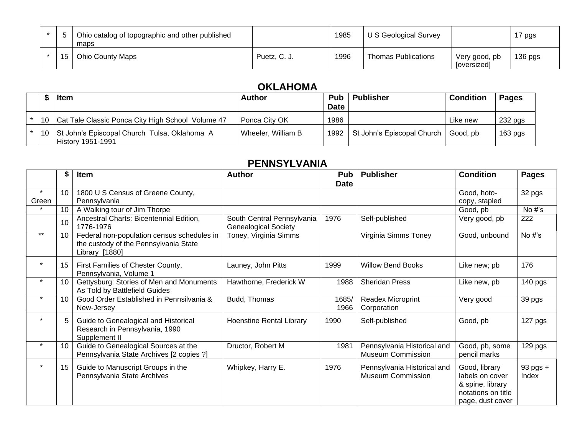|    | Ohio catalog of topographic and other published<br>maps |              | 1985 | U S Geological Survey      |                              | 17 pgs    |
|----|---------------------------------------------------------|--------------|------|----------------------------|------------------------------|-----------|
| 15 | <b>Ohio County Maps</b>                                 | Puetz, C. J. | 1996 | <b>Thomas Publications</b> | Very good, pb<br>[oversized] | $136$ pgs |

### **OKLAHOMA**

|  | <b>Item</b>                                                            | <b>Author</b>      | <b>Pub</b>  | <b>Publisher</b>                  | <b>Condition</b> | <b>Pages</b> |
|--|------------------------------------------------------------------------|--------------------|-------------|-----------------------------------|------------------|--------------|
|  |                                                                        |                    | <b>Date</b> |                                   |                  |              |
|  | 10   Cat Tale Classic Ponca City High School Volume 47                 | Ponca City OK      | 1986        |                                   | Like new         | 232 pgs      |
|  | 10   St John's Episcopal Church Tulsa, Oklahoma A<br>History 1951-1991 | Wheeler, William B |             | 1992   St John's Episcopal Church | Good, pb         | $163$ pgs    |

#### **PENNSYLVANIA**

|                  |    | Item                                                                                                  | <b>Author</b>                                             | <b>Pub</b><br><b>Date</b> | <b>Publisher</b>                                        | <b>Condition</b>                                                                               | <b>Pages</b>          |
|------------------|----|-------------------------------------------------------------------------------------------------------|-----------------------------------------------------------|---------------------------|---------------------------------------------------------|------------------------------------------------------------------------------------------------|-----------------------|
| $\star$<br>Green | 10 | 1800 U S Census of Greene County,<br>Pennsylvania                                                     |                                                           |                           |                                                         | Good, hoto-<br>copy, stapled                                                                   | 32 pgs                |
|                  | 10 | A Walking tour of Jim Thorpe                                                                          |                                                           |                           |                                                         | Good, pb                                                                                       | No #'s                |
|                  | 10 | Ancestral Charts: Bicentennial Edition,<br>1776-1976                                                  | South Central Pennsylvania<br><b>Genealogical Society</b> | 1976                      | Self-published                                          | Very good, pb                                                                                  | 222                   |
| $***$            | 10 | Federal non-population census schedules in<br>the custody of the Pennsylvania State<br>Library [1880] | Toney, Virginia Simms                                     |                           | Virginia Simms Toney                                    | Good, unbound                                                                                  | No #'s                |
| $\star$          |    | First Families of Chester County,<br>Pennsylvania, Volume 1                                           | Launey, John Pitts                                        | 1999                      | <b>Willow Bend Books</b>                                | Like new; pb                                                                                   | 176                   |
| $\star$          | 10 | Gettysburg: Stories of Men and Monuments<br>As Told by Battlefield Guides                             | Hawthorne, Frederick W                                    | 1988                      | <b>Sheridan Press</b>                                   | Like new, pb                                                                                   | $140$ pgs             |
| $\star$          | 10 | Good Order Established in Pennsilvania &<br>New-Jersey                                                | Budd, Thomas                                              | 1685/<br>1966             | Readex Microprint<br>Corporation                        | Very good                                                                                      | 39 pgs                |
| $\star$          |    | Guide to Genealogical and Historical<br>Research in Pennsylvania, 1990<br>Supplement II               | Hoenstine Rental Library                                  | 1990                      | Self-published                                          | Good, pb                                                                                       | 127 pgs               |
| $\star$          | 10 | Guide to Genealogical Sources at the<br>Pennsylvania State Archives [2 copies ?]                      | Dructor, Robert M                                         | 1981                      | Pennsylvania Historical and<br><b>Museum Commission</b> | Good, pb, some<br>pencil marks                                                                 | 129 pgs               |
| $\star$          | 15 | Guide to Manuscript Groups in the<br>Pennsylvania State Archives                                      | Whipkey, Harry E.                                         | 1976                      | Pennsylvania Historical and<br><b>Museum Commission</b> | Good, library<br>labels on cover<br>& spine, library<br>notations on title<br>page, dust cover | $93$ pgs $+$<br>Index |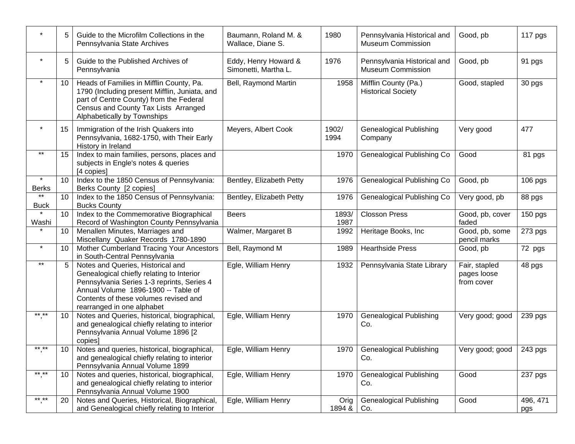|                         |    | Guide to the Microfilm Collections in the<br>Pennsylvania State Archives                                                                                                                                                                   | Baumann, Roland M. &<br>Wallace, Diane S.    | 1980           | Pennsylvania Historical and<br><b>Museum Commission</b> | Good, pb                                   | 117 pgs         |
|-------------------------|----|--------------------------------------------------------------------------------------------------------------------------------------------------------------------------------------------------------------------------------------------|----------------------------------------------|----------------|---------------------------------------------------------|--------------------------------------------|-----------------|
| $\star$                 |    | Guide to the Published Archives of<br>Pennsylvania                                                                                                                                                                                         | Eddy, Henry Howard &<br>Simonetti, Martha L. | 1976           | Pennsylvania Historical and<br><b>Museum Commission</b> | Good, pb                                   | 91 pgs          |
| $\star$                 | 10 | Heads of Families in Mifflin County, Pa.<br>1790 (Including present Mifflin, Juniata, and<br>part of Centre County) from the Federal<br>Census and County Tax Lists Arranged<br>Alphabetically by Townships                                | Bell, Raymond Martin                         | 1958           | Mifflin County (Pa.)<br><b>Historical Society</b>       | Good, stapled                              | 30 pgs          |
| $\star$                 | 15 | Immigration of the Irish Quakers into<br>Pennsylvania, 1682-1750, with Their Early<br>History in Ireland                                                                                                                                   | Meyers, Albert Cook                          | 1902/<br>1994  | <b>Genealogical Publishing</b><br>Company               | Very good                                  | 477             |
| $***$                   | 15 | Index to main families, persons, places and<br>subjects in Engle's notes & queries<br>[4 copies]                                                                                                                                           |                                              | 1970           | Genealogical Publishing Co                              | Good                                       | 81 pgs          |
| $\star$<br><b>Berks</b> | 10 | Index to the 1850 Census of Pennsylvania:<br>Berks County [2 copies]                                                                                                                                                                       | Bentley, Elizabeth Petty                     | 1976           | Genealogical Publishing Co                              | Good, pb                                   | 106 pgs         |
| $***$<br><b>Buck</b>    | 10 | Index to the 1850 Census of Pennsylvania:<br><b>Bucks County</b>                                                                                                                                                                           | Bentley, Elizabeth Petty                     | 1976           | <b>Genealogical Publishing Co</b>                       | Very good, pb                              | 88 pgs          |
| Washi                   | 10 | Index to the Commemorative Biographical<br>Record of Washington County Pennsylvania                                                                                                                                                        | <b>Beers</b>                                 | 1893/<br>1987  | <b>Closson Press</b>                                    | Good, pb, cover<br>faded                   | 150 pgs         |
|                         | 10 | Menallen Minutes, Marriages and<br>Miscellany Quaker Records 1780-1890                                                                                                                                                                     | Walmer, Margaret B                           | 1992           | Heritage Books, Inc                                     | Good, pb, some<br>pencil marks             | 273 pgs         |
| $\star$                 | 10 | Mother Cumberland Tracing Your Ancestors<br>in South-Central Pennsylvania                                                                                                                                                                  | Bell, Raymond M                              | 1989           | <b>Hearthside Press</b>                                 | Good, pb                                   | 72 pgs          |
| $***$                   |    | Notes and Queries, Historical and<br>Genealogical chiefly relating to Interior<br>Pennsylvania Series 1-3 reprints, Series 4<br>Annual Volume 1896-1900 -- Table of<br>Contents of these volumes revised and<br>rearranged in one alphabet | Egle, William Henry                          | 1932           | Pennsylvania State Library                              | Fair, stapled<br>pages loose<br>from cover | 48 pgs          |
| $***$ **                | 10 | Notes and Queries, historical, biographical,<br>and genealogical chiefly relating to interior<br>Pennsylvania Annual Volume 1896 [2<br>copies]                                                                                             | Egle, William Henry                          | 1970           | <b>Genealogical Publishing</b><br>Co.                   | Very good; good                            | 239 pgs         |
| ** **                   | 10 | Notes and queries, historical, biographical,<br>and genealogical chiefly relating to interior<br>Pennsylvania Annual Volume 1899                                                                                                           | Egle, William Henry                          | 1970           | <b>Genealogical Publishing</b><br>Co.                   | Very good; good                            | 243 pgs         |
| $***$ **                | 10 | Notes and queries, historical, biographical,<br>and genealogical chiefly relating to interior<br>Pennsylvania Annual Volume 1900                                                                                                           | Egle, William Henry                          | 1970           | <b>Genealogical Publishing</b><br>Co.                   | Good                                       | 237 pgs         |
| $***$ **                | 20 | Notes and Queries, Historical, Biographical,<br>and Genealogical chiefly relating to Interior                                                                                                                                              | Egle, William Henry                          | Orig<br>1894 & | <b>Genealogical Publishing</b><br>Co.                   | Good                                       | 496, 471<br>pgs |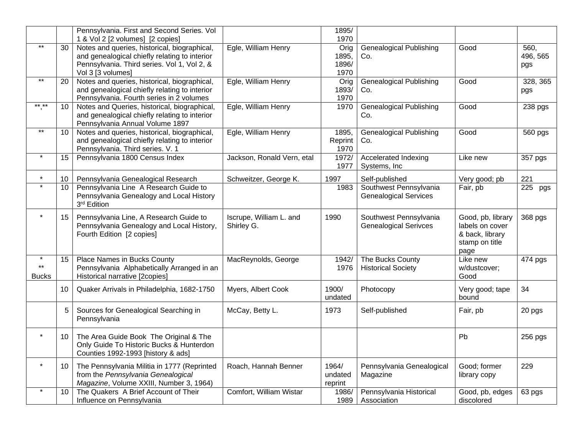|                                         |    | Pennsylvania. First and Second Series. Vol                                                                                                                        |                                       | 1895/                          |                                                        |                                                                                   |                         |
|-----------------------------------------|----|-------------------------------------------------------------------------------------------------------------------------------------------------------------------|---------------------------------------|--------------------------------|--------------------------------------------------------|-----------------------------------------------------------------------------------|-------------------------|
|                                         |    | 1 & Vol 2 [2 volumes] [2 copies]                                                                                                                                  |                                       | 1970                           |                                                        |                                                                                   |                         |
| $\star\star$                            | 30 | Notes and queries, historical, biographical,<br>and genealogical chiefly relating to interior<br>Pennsylvania. Third series. Vol 1, Vol 2, &<br>Vol 3 [3 volumes] | Egle, William Henry                   | Orig<br>1895,<br>1896/<br>1970 | <b>Genealogical Publishing</b><br>Co.                  | Good                                                                              | 560,<br>496, 565<br>pgs |
| $*$                                     | 20 | Notes and queries, historical, biographical,<br>and genealogical chiefly relating to interior<br>Pennsylvania. Fourth series in 2 volumes                         | Egle, William Henry                   | Orig<br>1893/<br>1970          | <b>Genealogical Publishing</b><br>Co.                  | Good                                                                              | 328, 365<br>pgs         |
| ** **                                   | 10 | Notes and Queries, historical, biographical,<br>and genealogical chiefly relating to interior<br>Pennsylvania Annual Volume 1897                                  | Egle, William Henry                   | 1970                           | <b>Genealogical Publishing</b><br>Co.                  | Good                                                                              | 238 pgs                 |
| $\star\star$                            | 10 | Notes and queries, historical, biographical,<br>and genealogical chiefly relating to interior<br>Pennsylvania. Third series. V. 1                                 | Egle, William Henry                   | 1895,<br>Reprint<br>1970       | <b>Genealogical Publishing</b><br>Co.                  | Good                                                                              | 560 pgs                 |
| $\ast$                                  | 15 | Pennsylvania 1800 Census Index                                                                                                                                    | Jackson, Ronald Vern, etal            | 1972/<br>1977                  | Accelerated Indexing<br>Systems, Inc                   | Like new                                                                          | 357 pgs                 |
| $\star$                                 | 10 | Pennsylvania Genealogical Research                                                                                                                                | Schweitzer, George K.                 | 1997                           | Self-published                                         | Very good; pb                                                                     | 221                     |
| $\star$                                 | 10 | Pennsylvania Line A Research Guide to<br>Pennsylvania Genealogy and Local History<br>3 <sup>rd</sup> Edition                                                      |                                       | 1983                           | Southwest Pennsylvania<br><b>Genealogical Services</b> | Fair, pb                                                                          | 225 pgs                 |
| $\star$                                 | 15 | Pennsylvania Line, A Research Guide to<br>Pennsylvania Genealogy and Local History,<br>Fourth Edition [2 copies]                                                  | Iscrupe, William L. and<br>Shirley G. | 1990                           | Southwest Pennsylvania<br><b>Genealogical Serivces</b> | Good, pb, library<br>labels on cover<br>& back, library<br>stamp on title<br>page | 368 pgs                 |
| $\star$<br>$\star\star$<br><b>Bucks</b> | 15 | Place Names in Bucks County<br>Pennsylvania Alphabetically Arranged in an<br>Historical narrative [2copies]                                                       | MacReynolds, George                   | 1942/<br>1976                  | The Bucks County<br><b>Historical Society</b>          | Like new<br>w/dustcover;<br>Good                                                  | 474 pgs                 |
|                                         | 10 | Quaker Arrivals in Philadelphia, 1682-1750                                                                                                                        | Myers, Albert Cook                    | 1900/<br>undated               | Photocopy                                              | Very good; tape<br>bound                                                          | 34                      |
|                                         | 5  | Sources for Genealogical Searching in<br>Pennsylvania                                                                                                             | McCay, Betty L.                       | 1973                           | Self-published                                         | Fair, pb                                                                          | 20 pgs                  |
| $\star$                                 | 10 | The Area Guide Book The Original & The<br>Only Guide To Historic Bucks & Hunterdon<br>Counties 1992-1993 [history & ads]                                          |                                       |                                |                                                        | Pb                                                                                | 256 pgs                 |
| $\star$                                 | 10 | The Pennsylvania Militia in 1777 (Reprinted<br>from the Pennsylvania Genealogical<br>Magazine, Volume XXIII, Number 3, 1964)                                      | Roach, Hannah Benner                  | 1964/<br>undated<br>reprint    | Pennsylvania Genealogical<br>Magazine                  | Good; former<br>library copy                                                      | 229                     |
| $\star$                                 | 10 | The Quakers A Brief Account of Their<br>Influence on Pennsylvania                                                                                                 | Comfort, William Wistar               | 1986/<br>1989                  | Pennsylvania Historical<br>Association                 | Good, pb, edges<br>discolored                                                     | 63 pgs                  |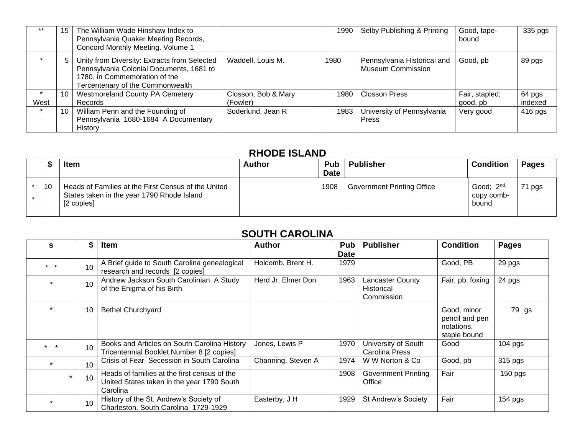|      | 15 | The William Wade Hinshaw Index to<br>Pennsylvania Quaker Meeting Records,<br>Concord Monthly Meeting. Volume 1                                                |                     | 1990 | Selby Publishing & Printing                             | Good, tape-<br>bound | 335 pgs   |
|------|----|---------------------------------------------------------------------------------------------------------------------------------------------------------------|---------------------|------|---------------------------------------------------------|----------------------|-----------|
|      |    | Unity from Diversity: Extracts from Selected<br>Pennsylvania Colonial Documents, 1681 to<br>1780, in Commemoration of the<br>Tercentenary of the Commonwealth | Waddell, Louis M.   | 1980 | Pennsylvania Historical and<br><b>Museum Commission</b> | Good, pb             | 89 pgs    |
|      | 10 | <b>Westmoreland County PA Cemetery</b>                                                                                                                        | Closson, Bob & Mary | 1980 | <b>Closson Press</b>                                    | Fair, stapled;       | 64 pgs    |
| West |    | Records                                                                                                                                                       | (Fowler)            |      |                                                         | good, pb             | indexed   |
|      | 10 | William Penn and the Founding of<br>Pennsylvania 1680-1684 A Documentary<br>History                                                                           | Soderlund, Jean R   | 1983 | University of Pennsylvania<br><b>Press</b>              | Very good            | $416$ pgs |

#### **RHODE ISLAND**

|    | <b>Item</b>                                                                                                     | <b>Author</b> | <b>Pub</b><br><b>Date</b> | <b>Publisher</b>                  | <b>Condition</b>                             | Pages |  |  |  |
|----|-----------------------------------------------------------------------------------------------------------------|---------------|---------------------------|-----------------------------------|----------------------------------------------|-------|--|--|--|
| 10 | Heads of Families at the First Census of the United<br>States taken in the year 1790 Rhode Island<br>[2 copies] |               | 1908                      | <b>Government Printing Office</b> | Good; 2 <sup>nd</sup><br>copy comb-<br>bound | pgs   |  |  |  |

# **SOUTH CAROLINA**

| s               |    | <b>Item</b>                                                                                            | <b>Author</b>      | Pub<br>Date | <b>Publisher</b>                                           | <b>Condition</b>                                            | <b>Pages</b> |
|-----------------|----|--------------------------------------------------------------------------------------------------------|--------------------|-------------|------------------------------------------------------------|-------------------------------------------------------------|--------------|
| $\star$ $\star$ | 10 | A Brief guide to South Carolina genealogical<br>research and records [2 copies]                        | Holcomb, Brent H.  | 1979        |                                                            | Good, PB                                                    | 29 pgs       |
|                 | 10 | Andrew Jackson South Carolinian A Study<br>of the Enigma of his Birth                                  | Herd Jr, Elmer Don | 1963        | <b>Lancaster County</b><br><b>Historical</b><br>Commission | Fair, pb, foxing                                            | 24 pgs       |
|                 | 10 | <b>Bethel Churchyard</b>                                                                               |                    |             |                                                            | Good, minor<br>pencil and pen<br>notations,<br>staple bound | 79 gs        |
| $*$ *           | 10 | Books and Articles on South Carolina History<br>Tricentennial Booklet Number 8 [2 copies]              | Jones, Lewis P     | 1970        | University of South<br>Carolina Press                      | Good                                                        | $104$ pgs    |
| $\star$         | 10 | Crisis of Fear Secession in South Carolina                                                             | Channing, Steven A | 1974        | W W Norton & Co                                            | Good, pb                                                    | 315 pgs      |
|                 | 10 | Heads of families at the first census of the<br>United States taken in the year 1790 South<br>Carolina |                    | 1908        | <b>Government Printing</b><br>Office                       | Fair                                                        | $150$ pgs    |
|                 | 10 | History of the St. Andrew's Society of<br>Charleston, South Carolina 1729-1929                         | Easterby, J H      | 1929        | <b>St Andrew's Society</b>                                 | Fair                                                        | 154 pgs      |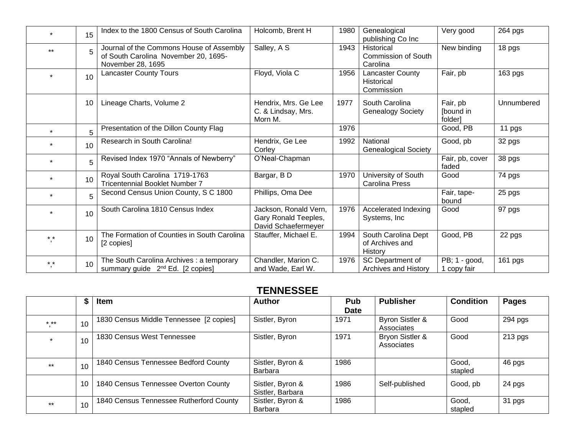|         | 15 | Index to the 1800 Census of South Carolina                                                            | Holcomb, Brent H                                                     | 1980 | Genealogical<br>publishing Co Inc                    | Very good                       | 264 pgs    |
|---------|----|-------------------------------------------------------------------------------------------------------|----------------------------------------------------------------------|------|------------------------------------------------------|---------------------------------|------------|
| $***$   | 5  | Journal of the Commons House of Assembly<br>of South Carolina November 20, 1695-<br>November 28, 1695 | Salley, A S                                                          | 1943 | Historical<br><b>Commission of South</b><br>Carolina | New binding                     | 18 pgs     |
|         | 10 | <b>Lancaster County Tours</b>                                                                         | Floyd, Viola C                                                       | 1956 | Lancaster County<br><b>Historical</b><br>Commission  | Fair, pb                        | 163 pgs    |
|         | 10 | Lineage Charts, Volume 2                                                                              | Hendrix, Mrs. Ge Lee<br>C. & Lindsay, Mrs.<br>Morn M.                | 1977 | South Carolina<br><b>Genealogy Society</b>           | Fair, pb<br>[bound in<br>folder | Unnumbered |
|         | 5  | Presentation of the Dillon County Flag                                                                |                                                                      | 1976 |                                                      | Good, PB                        | 11 pgs     |
|         | 10 | Research in South Carolina!                                                                           | Hendrix, Ge Lee<br>Corley                                            | 1992 | National<br><b>Genealogical Society</b>              | Good, pb                        | 32 pgs     |
| $\star$ | 5  | Revised Index 1970 "Annals of Newberry"                                                               | O'Neal-Chapman                                                       |      |                                                      | Fair, pb, cover<br>faded        | 38 pgs     |
|         | 10 | Royal South Carolina 1719-1763<br><b>Tricentennial Booklet Number 7</b>                               | Bargar, BD                                                           | 1970 | University of South<br><b>Carolina Press</b>         | Good                            | 74 pgs     |
|         | 5  | Second Census Union County, S C 1800                                                                  | Phillips, Oma Dee                                                    |      |                                                      | Fair, tape-<br>bound            | 25 pgs     |
|         | 10 | South Carolina 1810 Census Index                                                                      | Jackson, Ronald Vern,<br>Gary Ronald Teeples,<br>David Schaefermeyer | 1976 | Accelerated Indexing<br>Systems, Inc                 | Good                            | 97 pgs     |
| $* *$   | 10 | The Formation of Counties in South Carolina<br>[2 copies]                                             | Stauffer, Michael E.                                                 | 1994 | South Carolina Dept<br>of Archives and<br>History    | Good, PB                        | 22 pgs     |
| $* *$   | 10 | The South Carolina Archives : a temporary<br>summary guide 2 <sup>nd</sup> Ed. [2 copies]             | Chandler, Marion C.<br>and Wade, Earl W.                             | 1976 | SC Department of<br><b>Archives and History</b>      | PB; 1 - good,<br>1 copy fair    | 161 pgs    |

#### **TENNESSEE**

|         | \$ | Item                                    | <b>Author</b>                        | Pub<br><b>Date</b> | <b>Publisher</b>              | <b>Condition</b> | <b>Pages</b> |
|---------|----|-----------------------------------------|--------------------------------------|--------------------|-------------------------------|------------------|--------------|
| $***$   | 10 | 1830 Census Middle Tennessee [2 copies] | Sistler, Byron                       | 1971               | Byron Sistler &<br>Associates | Good             | 294 pgs      |
| $\star$ | 10 | 1830 Census West Tennessee              | Sistler, Byron                       | 1971               | Bryon Sistler &<br>Associates | Good             | $213$ pgs    |
| $***$   | 10 | 1840 Census Tennessee Bedford County    | Sistler, Byron &<br>Barbara          | 1986               |                               | Good,<br>stapled | 46 pgs       |
|         | 10 | 1840 Census Tennessee Overton County    | Sistler, Byron &<br>Sistler, Barbara | 1986               | Self-published                | Good, pb         | 24 pgs       |
| $***$   | 10 | 1840 Census Tennessee Rutherford County | Sistler, Byron &<br><b>Barbara</b>   | 1986               |                               | Good,<br>stapled | 31 pgs       |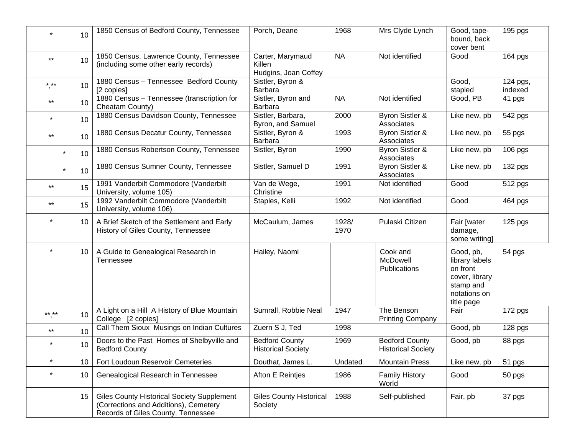|                 | 10 | 1850 Census of Bedford County, Tennessee                                                                                         | Porch, Deane                                       | 1968          | Mrs Clyde Lynch                                    | Good, tape-<br>bound, back<br>cover bent                                                             | 195 pgs             |
|-----------------|----|----------------------------------------------------------------------------------------------------------------------------------|----------------------------------------------------|---------------|----------------------------------------------------|------------------------------------------------------------------------------------------------------|---------------------|
| $***$           | 10 | 1850 Census, Lawrence County, Tennessee<br>(including some other early records)                                                  | Carter, Marymaud<br>Killen<br>Hudgins, Joan Coffey | <b>NA</b>     | Not identified                                     | Good                                                                                                 | 164 pgs             |
| $***$           | 10 | 1880 Census - Tennessee Bedford County<br>[2 copies]                                                                             | Sistler, Byron &<br>Barbara                        |               |                                                    | Good,<br>stapled                                                                                     | 124 pgs,<br>indexed |
| $***$           | 10 | 1880 Census - Tennessee (transcription for<br>Cheatam County)                                                                    | Sistler, Byron and<br>Barbara                      | <b>NA</b>     | Not identified                                     | Good, PB                                                                                             | 41 pgs              |
|                 | 10 | 1880 Census Davidson County, Tennessee                                                                                           | Sistler, Barbara,<br>Byron, and Samuel             | 2000          | Byron Sistler &<br>Associates                      | Like new, pb                                                                                         | 542 pgs             |
| $***$           | 10 | 1880 Census Decatur County, Tennessee                                                                                            | Sistler, Byron &<br><b>Barbara</b>                 | 1993          | <b>Byron Sistler &amp;</b><br>Associates           | Like new, pb                                                                                         | 55 pgs              |
| $\ast$          | 10 | 1880 Census Robertson County, Tennessee                                                                                          | Sistler, Byron                                     | 1990          | Byron Sistler &<br>Associates                      | Like new, pb                                                                                         | 106 pgs             |
| $\star$         | 10 | 1880 Census Sumner County, Tennessee                                                                                             | Sistler, Samuel D                                  | 1991          | Byron Sistler &<br>Associates                      | Like new, pb                                                                                         | 132 pgs             |
| $***$           | 15 | 1991 Vanderbilt Commodore (Vanderbilt<br>University, volume 105)                                                                 | Van de Wege,<br>Christine                          | 1991          | Not identified                                     | Good                                                                                                 | 512 pgs             |
| $^{\star\star}$ | 15 | 1992 Vanderbilt Commodore (Vanderbilt<br>University, volume 106)                                                                 | Staples, Kelli                                     | 1992          | Not identified                                     | Good                                                                                                 | 464 pgs             |
| $\star$         | 10 | A Brief Sketch of the Settlement and Early<br>History of Giles County, Tennessee                                                 | McCaulum, James                                    | 1928/<br>1970 | Pulaski Citizen                                    | Fair [water<br>damage,<br>some writing]                                                              | 125 pgs             |
|                 | 10 | A Guide to Genealogical Research in<br>Tennessee                                                                                 | Hailey, Naomi                                      |               | Cook and<br>McDowell<br><b>Publications</b>        | Good, pb,<br>library labels<br>on front<br>cover, library<br>stamp and<br>notations on<br>title page | 54 pgs              |
| $***$ **        | 10 | A Light on a Hill A History of Blue Mountain<br>College [2 copies]                                                               | Sumrall, Robbie Neal                               | 1947          | The Benson<br><b>Printing Company</b>              | Fair                                                                                                 | 172 pgs             |
| $***$           | 10 | Call Them Sioux Musings on Indian Cultures                                                                                       | Zuern S J, Ted                                     | 1998          |                                                    | Good, pb                                                                                             | 128 pgs             |
| $\star$         | 10 | Doors to the Past Homes of Shelbyville and<br><b>Bedford County</b>                                                              | <b>Bedford County</b><br><b>Historical Society</b> | 1969          | <b>Bedford County</b><br><b>Historical Society</b> | Good, pb                                                                                             | 88 pgs              |
| $\star$         | 10 | Fort Loudoun Reservoir Cemeteries                                                                                                | Douthat, James L.                                  | Undated       | <b>Mountain Press</b>                              | Like new, pb                                                                                         | 51 pgs              |
| $\star$         | 10 | Genealogical Research in Tennessee                                                                                               | Afton E Reintjes                                   | 1986          | <b>Family History</b><br>World                     | Good                                                                                                 | 50 pgs              |
|                 | 15 | <b>Giles County Historical Society Supplement</b><br>(Corrections and Additions), Cemetery<br>Records of Giles County, Tennessee | <b>Giles County Historical</b><br>Society          | 1988          | Self-published                                     | Fair, pb                                                                                             | 37 pgs              |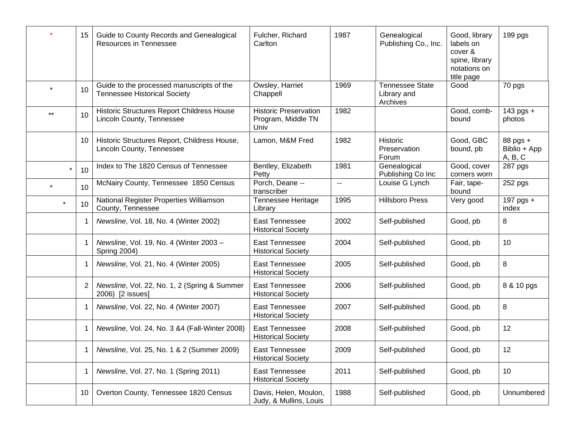|         | 15             | Guide to County Records and Genealogical<br>Resources in Tennessee               | Fulcher, Richard<br>Carlton                                | 1987                      | Genealogical<br>Publishing Co., Inc.              | Good, library<br>labels on<br>cover &<br>spine, library<br>notations on<br>title page | 199 pgs                             |
|---------|----------------|----------------------------------------------------------------------------------|------------------------------------------------------------|---------------------------|---------------------------------------------------|---------------------------------------------------------------------------------------|-------------------------------------|
|         | 10             | Guide to the processed manuscripts of the<br><b>Tennessee Historical Society</b> | Owsley, Harriet<br>Chappell                                | 1969                      | <b>Tennessee State</b><br>Library and<br>Archives | Good                                                                                  | 70 pgs                              |
| $***$   | 10             | Historic Structures Report Childress House<br>Lincoln County, Tennessee          | <b>Historic Preservation</b><br>Program, Middle TN<br>Univ | 1982                      |                                                   | Good, comb-<br>bound                                                                  | 143 pgs +<br>photos                 |
|         | 10             | Historic Structures Report, Childress House,<br>Lincoln County, Tennessee        | Lamon, M&M Fred                                            | 1982                      | Historic<br>Preservation<br>Forum                 | Good, GBC<br>bound, pb                                                                | 88 pgs +<br>Biblio + App<br>A, B, C |
| $\star$ | 10             | Index to The 1820 Census of Tennessee                                            | Bentley, Elizabeth<br>Petty                                | 1981                      | Genealogical<br>Publishing Co Inc                 | Good, cover<br>corners worn                                                           | 287 pgs                             |
|         | 10             | McNairy County, Tennessee 1850 Census                                            | Porch, Deane --<br>transcriber                             | $\mathbb{H}^{\mathbb{H}}$ | Louise G Lynch                                    | Fair, tape-<br>bound                                                                  | 252 pgs                             |
| $\star$ | 10             | National Register Properties Williamson<br>County, Tennessee                     | Tennessee Heritage<br>Library                              | 1995                      | <b>Hillsboro Press</b>                            | Very good                                                                             | 197 pgs $+$<br>index                |
|         | -1             | Newsline, Vol. 18, No. 4 (Winter 2002)                                           | <b>East Tennessee</b><br><b>Historical Society</b>         | 2002                      | Self-published                                    | Good, pb                                                                              | 8                                   |
|         | -1             | Newsline, Vol. 19, No. 4 (Winter 2003 -<br>Spring 2004)                          | East Tennessee<br><b>Historical Society</b>                | 2004                      | Self-published                                    | Good, pb                                                                              | 10                                  |
|         | -1             | Newsline, Vol. 21, No. 4 (Winter 2005)                                           | <b>East Tennessee</b><br><b>Historical Society</b>         | 2005                      | Self-published                                    | Good, pb                                                                              | 8                                   |
|         | $\overline{2}$ | Newsline, Vol. 22, No. 1, 2 (Spring & Summer<br>2006) [2 issues]                 | <b>East Tennessee</b><br><b>Historical Society</b>         | 2006                      | Self-published                                    | Good, pb                                                                              | 8 & 10 pgs                          |
|         | -1             | Newsline, Vol. 22, No. 4 (Winter 2007)                                           | <b>East Tennessee</b><br><b>Historical Society</b>         | 2007                      | Self-published                                    | Good, pb                                                                              | 8                                   |
|         |                | Newsline, Vol. 24, No. 3 &4 (Fall-Winter 2008)                                   | East Tennessee<br><b>Historical Society</b>                | 2008                      | Self-published                                    | Good, pb                                                                              | 12                                  |
|         | -1             | Newsline, Vol. 25, No. 1 & 2 (Summer 2009)                                       | <b>East Tennessee</b><br><b>Historical Society</b>         | 2009                      | Self-published                                    | Good, pb                                                                              | 12                                  |
|         |                | Newsline, Vol. 27, No. 1 (Spring 2011)                                           | East Tennessee<br><b>Historical Society</b>                | 2011                      | Self-published                                    | Good, pb                                                                              | 10                                  |
|         | 10             | Overton County, Tennessee 1820 Census                                            | Davis, Helen, Moulon,<br>Judy, & Mullins, Louis            | 1988                      | Self-published                                    | Good, pb                                                                              | Unnumbered                          |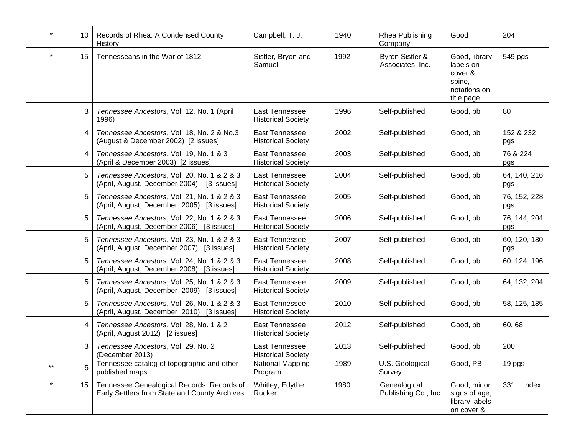| $\star$ | 10             | Records of Rhea: A Condensed County<br>History                                              | Campbell, T. J.                                    | 1940 | Rhea Publishing<br>Company           | Good                                                                          | 204                 |
|---------|----------------|---------------------------------------------------------------------------------------------|----------------------------------------------------|------|--------------------------------------|-------------------------------------------------------------------------------|---------------------|
| $\star$ | 15             | Tennesseans in the War of 1812                                                              | Sistler, Bryon and<br>Samuel                       | 1992 | Byron Sistler &<br>Associates, Inc.  | Good, library<br>labels on<br>cover &<br>spine,<br>notations on<br>title page | 549 pgs             |
|         | 3              | Tennessee Ancestors, Vol. 12, No. 1 (April<br>1996)                                         | East Tennessee<br><b>Historical Society</b>        | 1996 | Self-published                       | Good, pb                                                                      | 80                  |
|         | $\overline{4}$ | Tennessee Ancestors, Vol. 18, No. 2 & No.3<br>(August & December 2002) [2 issues]           | <b>East Tennessee</b><br><b>Historical Society</b> | 2002 | Self-published                       | Good, pb                                                                      | 152 & 232<br>pgs    |
|         | 4              | Tennessee Ancestors, Vol. 19, No. 1 & 3<br>(April & December 2003) [2 issues]               | East Tennessee<br><b>Historical Society</b>        | 2003 | Self-published                       | Good, pb                                                                      | 76 & 224<br>pgs     |
|         | 5              | Tennessee Ancestors, Vol. 20, No. 1 & 2 & 3<br>(April, August, December 2004)<br>[3 issues] | East Tennessee<br><b>Historical Society</b>        | 2004 | Self-published                       | Good, pb                                                                      | 64, 140, 216<br>pgs |
|         | 5              | Tennessee Ancestors, Vol. 21, No. 1 & 2 & 3<br>(April, August, December 2005) [3 issues]    | East Tennessee<br><b>Historical Society</b>        | 2005 | Self-published                       | Good, pb                                                                      | 76, 152, 228<br>pgs |
|         | 5              | Tennessee Ancestors, Vol. 22, No. 1 & 2 & 3<br>(April, August, December 2006) [3 issues]    | East Tennessee<br><b>Historical Society</b>        | 2006 | Self-published                       | Good, pb                                                                      | 76, 144, 204<br>pgs |
|         | 5              | Tennessee Ancestors, Vol. 23, No. 1 & 2 & 3<br>(April, August, December 2007) [3 issues]    | East Tennessee<br><b>Historical Society</b>        | 2007 | Self-published                       | Good, pb                                                                      | 60, 120, 180<br>pgs |
|         | 5              | Tennessee Ancestors, Vol. 24, No. 1 & 2 & 3<br>(April, August, December 2008) [3 issues]    | East Tennessee<br><b>Historical Society</b>        | 2008 | Self-published                       | Good, pb                                                                      | 60, 124, 196        |
|         | 5              | Tennessee Ancestors, Vol. 25, No. 1 & 2 & 3<br>(April, August, December 2009) [3 issues]    | East Tennessee<br><b>Historical Society</b>        | 2009 | Self-published                       | Good, pb                                                                      | 64, 132, 204        |
|         | 5              | Tennessee Ancestors, Vol. 26, No. 1 & 2 & 3<br>(April, August, December 2010) [3 issues]    | East Tennessee<br><b>Historical Society</b>        | 2010 | Self-published                       | Good, pb                                                                      | 58, 125, 185        |
|         | 4              | Tennessee Ancestors, Vol. 28, No. 1 & 2<br>(April, August 2012) [2 issues]                  | East Tennessee<br><b>Historical Society</b>        | 2012 | Self-published                       | Good, pb                                                                      | 60, 68              |
|         | 3              | Tennessee Ancestors, Vol. 29, No. 2<br>(December 2013)                                      | <b>East Tennessee</b><br><b>Historical Society</b> | 2013 | Self-published                       | Good, pb                                                                      | 200                 |
| $***$   | 5              | Tennessee catalog of topographic and other<br>published maps                                | National Mapping<br>Program                        | 1989 | U.S. Geological<br>Survey            | Good, PB                                                                      | 19 pgs              |
| $\star$ | 15             | Tennessee Genealogical Records: Records of<br>Early Settlers from State and County Archives | Whitley, Edythe<br>Rucker                          | 1980 | Genealogical<br>Publishing Co., Inc. | Good, minor<br>signs of age,<br>library labels<br>on cover &                  | $331 +$ Index       |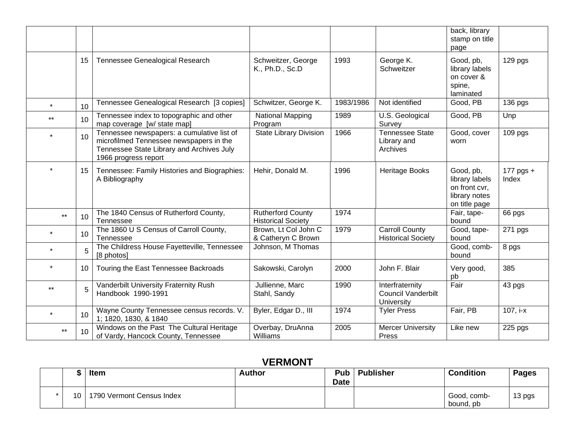|         |                 |                                                                                                                                                            |                                                       |           |                                                            | back, library<br>stamp on title<br>page                                        |                    |
|---------|-----------------|------------------------------------------------------------------------------------------------------------------------------------------------------------|-------------------------------------------------------|-----------|------------------------------------------------------------|--------------------------------------------------------------------------------|--------------------|
|         | 15              | Tennessee Genealogical Research                                                                                                                            | Schweitzer, George<br>K., Ph.D., Sc.D                 | 1993      | George K.<br><b>Schweitzer</b>                             | Good, pb,<br>library labels<br>on cover &<br>spine,<br>laminated               | 129 <sub>pgs</sub> |
| $\star$ | 10              | Tennessee Genealogical Research [3 copies]                                                                                                                 | Schwitzer, George K.                                  | 1983/1986 | Not identified                                             | Good, PB                                                                       | 136 pgs            |
| $***$   | 10              | Tennessee index to topographic and other<br>map coverage [w/ state map]                                                                                    | National Mapping<br>Program                           | 1989      | U.S. Geological<br>Survey                                  | Good, PB                                                                       | Unp                |
| $\star$ | 10              | Tennessee newspapers: a cumulative list of<br>microfilmed Tennessee newspapers in the<br>Tennessee State Library and Archives July<br>1966 progress report | <b>State Library Division</b>                         | 1966      | <b>Tennessee State</b><br>Library and<br>Archives          | Good, cover<br>worn                                                            | 109 pgs            |
| $\star$ | 15              | Tennessee: Family Histories and Biographies:<br>A Bibliography                                                                                             | Hehir, Donald M.                                      | 1996      | Heritage Books                                             | Good, pb,<br>library labels<br>on front cvr,<br>library notes<br>on title page | 177 pgs +<br>Index |
| $***$   | 10              | The 1840 Census of Rutherford County,<br>Tennessee                                                                                                         | <b>Rutherford County</b><br><b>Historical Society</b> | 1974      |                                                            | Fair, tape-<br>bound                                                           | 66 pgs             |
| $\star$ | 10 <sup>1</sup> | The 1860 U S Census of Carroll County,<br>Tennessee                                                                                                        | Brown, Lt Col John C<br>& Catheryn C Brown            | 1979      | <b>Carroll County</b><br><b>Historical Society</b>         | Good, tape-<br>bound                                                           | 271 pgs            |
| $\star$ | 5               | The Childress House Fayetteville, Tennessee<br>[8 photos]                                                                                                  | Johnson, M Thomas                                     |           |                                                            | Good, comb-<br>bound                                                           | 8 pgs              |
|         | 10              | Touring the East Tennessee Backroads                                                                                                                       | Sakowski, Carolyn                                     | 2000      | John F. Blair                                              | Very good,<br>pb                                                               | 385                |
| $***$   | 5               | Vanderbilt University Fraternity Rush<br>Handbook 1990-1991                                                                                                | Jullienne, Marc<br>Stahl, Sandy                       | 1990      | Interfraternity<br><b>Council Vanderbilt</b><br>University | Fair                                                                           | 43 pgs             |
| $\star$ | 10              | Wayne County Tennessee census records. V.<br>1; 1820, 1830, & 1840                                                                                         | Byler, Edgar D., III                                  | 1974      | <b>Tyler Press</b>                                         | Fair, PB                                                                       | 107, i-x           |
| $***$   | 10              | Windows on the Past The Cultural Heritage<br>of Vardy, Hancock County, Tennessee                                                                           | Overbay, DruAnna<br>Williams                          | 2005      | <b>Mercer University</b><br>Press                          | Like new                                                                       | 225 pgs            |

### **VERMONT**

|                 | <b>Item</b>                   | <b>Author</b> | Pub<br><b>Date</b> | <b>Publisher</b> | <b>Condition</b>         | <b>Pages</b> |
|-----------------|-------------------------------|---------------|--------------------|------------------|--------------------------|--------------|
| 10 <sup>1</sup> | J   1790 Vermont Census Index |               |                    |                  | Good, comb-<br>bound, pb | 13 pgs       |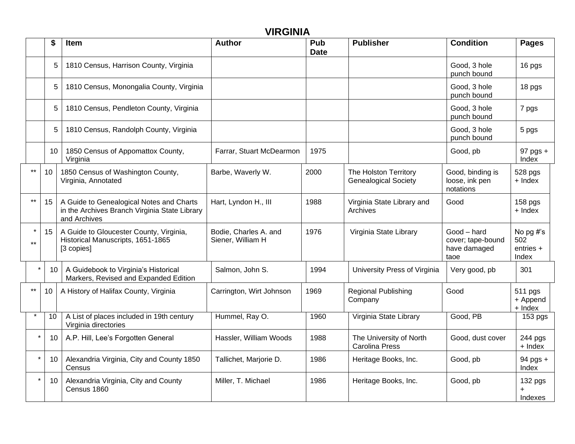|         |               |                                                                                                           | <b>VIRGINIA</b>                            |                    |                                                      |                                                          |                                        |
|---------|---------------|-----------------------------------------------------------------------------------------------------------|--------------------------------------------|--------------------|------------------------------------------------------|----------------------------------------------------------|----------------------------------------|
|         |               | <b>Item</b>                                                                                               | <b>Author</b>                              | Pub<br><b>Date</b> | <b>Publisher</b>                                     | <b>Condition</b>                                         | <b>Pages</b>                           |
|         | 5             | 1810 Census, Harrison County, Virginia                                                                    |                                            |                    |                                                      | Good, 3 hole<br>punch bound                              | 16 pgs                                 |
|         | 5             | 1810 Census, Monongalia County, Virginia                                                                  |                                            |                    |                                                      | Good, 3 hole<br>punch bound                              | 18 pgs                                 |
|         | 5             | 1810 Census, Pendleton County, Virginia                                                                   |                                            |                    |                                                      | Good, 3 hole<br>punch bound                              | 7 pgs                                  |
|         | 5             | 1810 Census, Randolph County, Virginia                                                                    |                                            |                    |                                                      | Good, 3 hole<br>punch bound                              | 5 pgs                                  |
|         | 10            | 1850 Census of Appomattox County,<br>Virginia                                                             | Farrar, Stuart McDearmon                   | 1975               |                                                      | Good, pb                                                 | $97$ pgs $+$<br>Index                  |
| $***$   | 10            | 1850 Census of Washington County,<br>Virginia, Annotated                                                  | Barbe, Waverly W.                          | 2000               | The Holston Territory<br><b>Genealogical Society</b> | Good, binding is<br>loose, ink pen<br>notations          | 528 pgs<br>+ Index                     |
| $***$   | 15            | A Guide to Genealogical Notes and Charts<br>in the Archives Branch Virginia State Library<br>and Archives | Hart, Lyndon H., III                       | 1988               | Virginia State Library and<br>Archives               | Good                                                     | 158 pgs<br>+ Index                     |
| $***$   | 15            | A Guide to Gloucester County, Virginia,<br>Historical Manuscripts, 1651-1865<br>[3 copies]                | Bodie, Charles A. and<br>Siener, William H | 1976               | Virginia State Library                               | Good - hard<br>cover; tape-bound<br>have damaged<br>taoe | No pg #'s<br>502<br>entries +<br>Index |
|         | 10            | A Guidebook to Virginia's Historical<br>Markers, Revised and Expanded Edition                             | Salmon, John S.                            | 1994               | University Press of Virginia                         | Very good, pb                                            | 301                                    |
| $***$   | 10            | A History of Halifax County, Virginia                                                                     | Carrington, Wirt Johnson                   | 1969               | <b>Regional Publishing</b><br>Company                | Good                                                     | 511 pgs<br>+ Append<br>+ Index         |
|         | 10            | A List of places included in 19th century<br>Virginia directories                                         | Hummel, Ray O.                             | 1960               | Virginia State Library                               | Good, PB                                                 | 153 pgs                                |
| $\star$ | 10            | A.P. Hill, Lee's Forgotten General                                                                        | Hassler, William Woods                     | 1988               | The University of North<br><b>Carolina Press</b>     | Good, dust cover                                         | 244 pgs<br>+ Index                     |
|         | 10            | Alexandria Virginia, City and County 1850<br>Census                                                       | Tallichet, Marjorie D.                     | 1986               | Heritage Books, Inc.                                 | Good, pb                                                 | 94 pgs +<br>Index                      |
|         | $\star$<br>10 | Alexandria Virginia, City and County<br>Census 1860                                                       | Miller, T. Michael                         | 1986               | Heritage Books, Inc.                                 | Good, pb                                                 | 132 pgs<br>$\ddot{}$<br>Indexes        |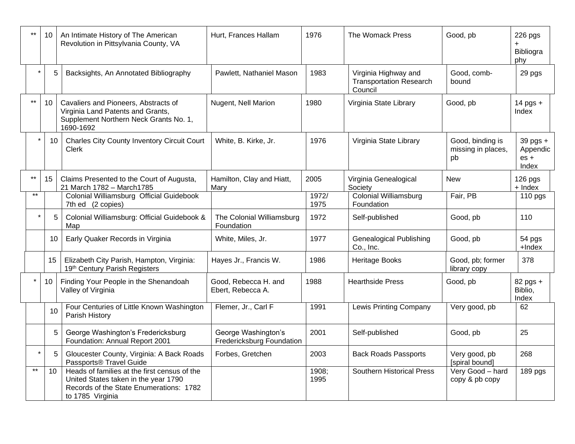| $**$            | 10 | An Intimate History of The American<br>Revolution in Pittsylvania County, VA                                                                        | Hurt, Frances Hallam                             | 1976          | The Womack Press                                                  | Good, pb                                     | 226 pgs<br>Bibliogra<br>phy                 |
|-----------------|----|-----------------------------------------------------------------------------------------------------------------------------------------------------|--------------------------------------------------|---------------|-------------------------------------------------------------------|----------------------------------------------|---------------------------------------------|
|                 | 5  | Backsights, An Annotated Bibliography                                                                                                               | Pawlett, Nathaniel Mason                         | 1983          | Virginia Highway and<br><b>Transportation Research</b><br>Council | Good, comb-<br>bound                         | 29 pgs                                      |
| $***$           | 10 | Cavaliers and Pioneers, Abstracts of<br>Virginia Land Patents and Grants,<br>Supplement Northern Neck Grants No. 1,<br>1690-1692                    | Nugent, Nell Marion                              | 1980          | Virginia State Library                                            | Good, pb                                     | 14 pgs +<br>Index                           |
|                 | 10 | <b>Charles City County Inventory Circuit Court</b><br>Clerk                                                                                         | White, B. Kirke, Jr.                             | 1976          | Virginia State Library                                            | Good, binding is<br>missing in places,<br>pb | $39$ pgs $+$<br>Appendic<br>$es +$<br>Index |
| $***$           | 15 | Claims Presented to the Court of Augusta,<br>21 March 1782 - March1785                                                                              | Hamilton, Clay and Hiatt,<br>Mary                | 2005          | Virginia Genealogical<br>Society                                  | <b>New</b>                                   | $126$ pgs<br>+ Index                        |
| $***$           |    | Colonial Williamsburg Official Guidebook<br>7th ed (2 copies)                                                                                       |                                                  | 1972/<br>1975 | <b>Colonial Williamsburg</b><br>Foundation                        | Fair, PB                                     | $110$ pgs                                   |
|                 | 5  | Colonial Williamsburg: Official Guidebook &<br>Map                                                                                                  | The Colonial Williamsburg<br>Foundation          | 1972          | Self-published                                                    | Good, pb                                     | 110                                         |
|                 | 10 | Early Quaker Records in Virginia                                                                                                                    | White, Miles, Jr.                                | 1977          | <b>Genealogical Publishing</b><br>Co., Inc.                       | Good, pb                                     | 54 pgs<br>+Index                            |
|                 | 15 | Elizabeth City Parish, Hampton, Virginia:<br>19th Century Parish Registers                                                                          | Hayes Jr., Francis W.                            | 1986          | Heritage Books                                                    | Good, pb; former<br>library copy             | 378                                         |
| $\star$         | 10 | Finding Your People in the Shenandoah<br>Valley of Virginia                                                                                         | Good, Rebecca H. and<br>Ebert, Rebecca A.        | 1988          | <b>Hearthside Press</b>                                           | Good, pb                                     | 82 pgs +<br>Biblio,<br>Index                |
|                 | 10 | Four Centuries of Little Known Washington<br>Parish History                                                                                         | Flemer, Jr., Carl F                              | 1991          | <b>Lewis Printing Company</b>                                     | Very good, pb                                | 62                                          |
|                 | 5  | George Washington's Fredericksburg<br>Foundation: Annual Report 2001                                                                                | George Washington's<br>Fredericksburg Foundation | 2001          | Self-published                                                    | Good, pb                                     | 25                                          |
|                 | 5  | Gloucester County, Virginia: A Back Roads<br>Passports® Travel Guide                                                                                | Forbes, Gretchen                                 | 2003          | <b>Back Roads Passports</b>                                       | Very good, pb<br>[spiral bound]              | 268                                         |
| $^{\star\star}$ | 10 | Heads of families at the first census of the<br>United States taken in the year 1790<br>Records of the State Enumerations: 1782<br>to 1785 Virginia |                                                  | 1908;<br>1995 | <b>Southern Historical Press</b>                                  | Very Good - hard<br>copy & pb copy           | 189 pgs                                     |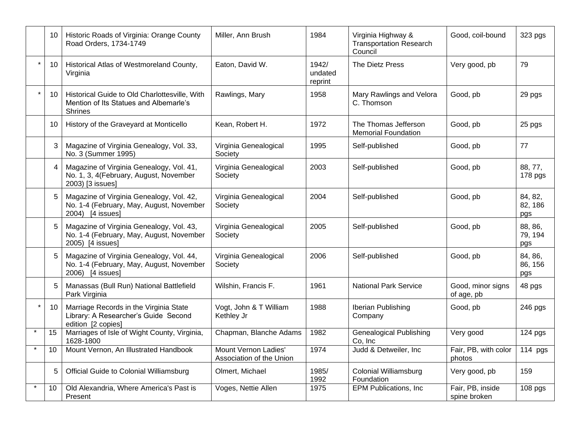| 10             | Historic Roads of Virginia: Orange County<br>Road Orders, 1734-1749                                       | Miller, Ann Brush                                | 1984                        | Virginia Highway &<br><b>Transportation Research</b><br>Council | Good, coil-bound                 | 323 pgs                   |
|----------------|-----------------------------------------------------------------------------------------------------------|--------------------------------------------------|-----------------------------|-----------------------------------------------------------------|----------------------------------|---------------------------|
| 10             | Historical Atlas of Westmoreland County,<br>Virginia                                                      | Eaton, David W.                                  | 1942/<br>undated<br>reprint | The Dietz Press                                                 | Very good, pb                    | 79                        |
| 10             | Historical Guide to Old Charlottesville, With<br>Mention of Its Statues and Albemarle's<br><b>Shrines</b> | Rawlings, Mary                                   | 1958                        | Mary Rawlings and Velora<br>C. Thomson                          | Good, pb                         | 29 pgs                    |
| 10             | History of the Graveyard at Monticello                                                                    | Kean, Robert H.                                  | 1972                        | The Thomas Jefferson<br><b>Memorial Foundation</b>              | Good, pb                         | 25 pgs                    |
| 3              | Magazine of Virginia Genealogy, Vol. 33,<br>No. 3 (Summer 1995)                                           | Virginia Genealogical<br>Society                 | 1995                        | Self-published                                                  | Good, pb                         | 77                        |
| $\overline{4}$ | Magazine of Virginia Genealogy, Vol. 41,<br>No. 1, 3, 4(February, August, November<br>2003) [3 issues]    | Virginia Genealogical<br>Society                 | 2003                        | Self-published                                                  | Good, pb                         | 88, 77,<br>178 pgs        |
| 5              | Magazine of Virginia Genealogy, Vol. 42,<br>No. 1-4 (February, May, August, November<br>2004) [4 issues]  | Virginia Genealogical<br>Society                 | 2004                        | Self-published                                                  | Good, pb                         | 84, 82,<br>82, 186<br>pgs |
| 5              | Magazine of Virginia Genealogy, Vol. 43,<br>No. 1-4 (February, May, August, November<br>2005) [4 issues]  | Virginia Genealogical<br>Society                 | 2005                        | Self-published                                                  | Good, pb                         | 88, 86,<br>79, 194<br>pgs |
| 5              | Magazine of Virginia Genealogy, Vol. 44,<br>No. 1-4 (February, May, August, November<br>2006) [4 issues]  | Virginia Genealogical<br>Society                 | 2006                        | Self-published                                                  | Good, pb                         | 84, 86,<br>86, 156<br>pgs |
| 5              | Manassas (Bull Run) National Battlefield<br>Park Virginia                                                 | Wilshin, Francis F.                              | 1961                        | <b>National Park Service</b>                                    | Good, minor signs<br>of age, pb  | 48 pgs                    |
| 10             | Marriage Records in the Virginia State<br>Library: A Researcher's Guide Second<br>edition [2 copies]      | Vogt, John & T William<br>Kethley Jr             | 1988                        | Iberian Publishing<br>Company                                   | Good, pb                         | 246 pgs                   |
| 15             | Marriages of Isle of Wight County, Virginia,<br>1628-1800                                                 | Chapman, Blanche Adams                           | 1982                        | <b>Genealogical Publishing</b><br>Co, Inc                       | Very good                        | 124 pgs                   |
| 10             | Mount Vernon, An Illustrated Handbook                                                                     | Mount Vernon Ladies'<br>Association of the Union | 1974                        | Judd & Detweiler, Inc                                           | Fair, PB, with color<br>photos   | 114 $pgs$                 |
| 5              | <b>Official Guide to Colonial Williamsburg</b>                                                            | Olmert, Michael                                  | 1985/<br>1992               | <b>Colonial Williamsburg</b><br>Foundation                      | Very good, pb                    | 159                       |
| 10             | Old Alexandria, Where America's Past is<br>Present                                                        | Voges, Nettie Allen                              | 1975                        | <b>EPM Publications, Inc.</b>                                   | Fair, PB, inside<br>spine broken | $\overline{1}08$ pgs      |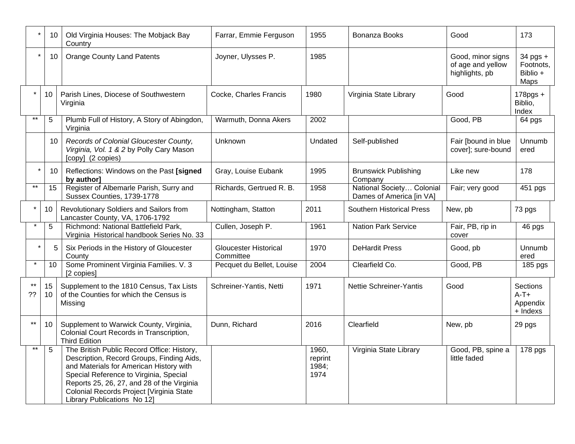|                 | 10       | Old Virginia Houses: The Mobjack Bay<br>Country                                                                                                                                                                                                                                                       | Farrar, Emmie Ferguson             | 1955                              | Bonanza Books                                         | Good                                                     | 173                                               |
|-----------------|----------|-------------------------------------------------------------------------------------------------------------------------------------------------------------------------------------------------------------------------------------------------------------------------------------------------------|------------------------------------|-----------------------------------|-------------------------------------------------------|----------------------------------------------------------|---------------------------------------------------|
| $\star$         | 10       | <b>Orange County Land Patents</b>                                                                                                                                                                                                                                                                     | Joyner, Ulysses P.                 | 1985                              |                                                       | Good, minor signs<br>of age and yellow<br>highlights, pb | $34$ pgs +<br>Footnots,<br>Biblio +<br>Maps       |
|                 | 10       | Parish Lines, Diocese of Southwestern<br>Virginia                                                                                                                                                                                                                                                     | Cocke, Charles Francis             | 1980                              | Virginia State Library                                | Good                                                     | $178$ pgs +<br>Biblio,<br>Index                   |
| $***$           | 5        | Plumb Full of History, A Story of Abingdon,<br>Virginia                                                                                                                                                                                                                                               | Warmuth, Donna Akers               | 2002                              |                                                       | Good, PB                                                 | 64 pgs                                            |
|                 | 10       | Records of Colonial Gloucester County,<br>Virginia, Vol. 1 & 2 by Polly Cary Mason<br>[copy] (2 copies)                                                                                                                                                                                               | Unknown                            | Undated                           | Self-published                                        | Fair [bound in blue<br>cover]; sure-bound                | <b>Unnumb</b><br>ered                             |
|                 | 10       | Reflections: Windows on the Past [signed<br>by author]                                                                                                                                                                                                                                                | Gray, Louise Eubank                | 1995                              | <b>Brunswick Publishing</b><br>Company                | Like new                                                 | 178                                               |
| $***$           | 15       | Register of Albemarle Parish, Surry and<br>Sussex Counties, 1739-1778                                                                                                                                                                                                                                 | Richards, Gertrued R. B.           | 1958                              | National Society Colonial<br>Dames of America [in VA] | Fair; very good                                          | 451 pgs                                           |
|                 | 10       | Revolutionary Soldiers and Sailors from<br>Lancaster County, VA, 1706-1792                                                                                                                                                                                                                            | Nottingham, Statton                | 2011                              | <b>Southern Historical Press</b>                      | New, pb                                                  | 73 pgs                                            |
|                 | 5        | Richmond: National Battlefield Park,<br>Virginia Historical handbook Series No. 33                                                                                                                                                                                                                    | Cullen, Joseph P.                  | 1961                              | <b>Nation Park Service</b>                            | Fair, PB, rip in<br>cover                                | 46 pgs                                            |
|                 | 5        | Six Periods in the History of Gloucester<br>County                                                                                                                                                                                                                                                    | Gloucester Historical<br>Committee | 1970                              | <b>DeHardit Press</b>                                 | Good, pb                                                 | Unnumb<br>ered                                    |
|                 | 10       | Some Prominent Virginia Families. V. 3<br>[2 copies]                                                                                                                                                                                                                                                  | Pecquet du Bellet, Louise          | 2004                              | Clearfield Co.                                        | Good, PB                                                 | 185 pgs                                           |
| ??              | 15<br>10 | Supplement to the 1810 Census, Tax Lists<br>of the Counties for which the Census is<br>Missing                                                                                                                                                                                                        | Schreiner-Yantis, Netti            | 1971                              | Nettie Schreiner-Yantis                               | Good                                                     | <b>Sections</b><br>$A-T+$<br>Appendix<br>+ Indexs |
| $***$           | 10       | Supplement to Warwick County, Virginia,<br>Colonial Court Records in Transcription,<br><b>Third Edition</b>                                                                                                                                                                                           | Dunn, Richard                      | 2016                              | Clearfield                                            | New, pb                                                  | 29 pgs                                            |
| $^{\star\star}$ | 5        | The British Public Record Office: History,<br>Description, Record Groups, Finding Aids,<br>and Materials for American History with<br>Special Reference to Virginia, Special<br>Reports 25, 26, 27, and 28 of the Virginia<br>Colonial Records Project [Virginia State<br>Library Publications No 12] |                                    | 1960,<br>reprint<br>1984;<br>1974 | Virginia State Library                                | Good, PB, spine a<br>little faded                        | 178 pgs                                           |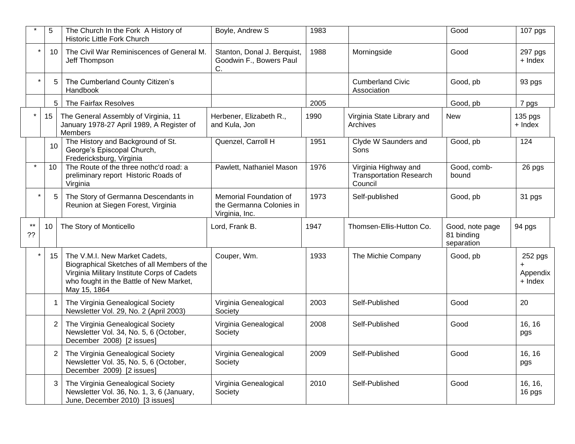|          | 5               | The Church In the Fork A History of<br><b>Historic Little Fork Church</b>                                                                                                              | Boyle, Andrew S                                                      | 1983 |                                                                   | Good                                        | 107 pgs                        |
|----------|-----------------|----------------------------------------------------------------------------------------------------------------------------------------------------------------------------------------|----------------------------------------------------------------------|------|-------------------------------------------------------------------|---------------------------------------------|--------------------------------|
| $\star$  | 10              | The Civil War Reminiscences of General M.<br>Jeff Thompson                                                                                                                             | Stanton, Donal J. Berquist,<br>Goodwin F., Bowers Paul<br>C.         | 1988 | Morningside                                                       | Good                                        | 297 pgs<br>+ Index             |
| $\star$  | 5               | The Cumberland County Citizen's<br>Handbook                                                                                                                                            |                                                                      |      | <b>Cumberland Civic</b><br>Association                            | Good, pb                                    | 93 pgs                         |
|          | 5               | The Fairfax Resolves                                                                                                                                                                   |                                                                      | 2005 |                                                                   | Good, pb                                    | 7 pgs                          |
| $\star$  | 15 <sub>1</sub> | The General Assembly of Virginia, 11<br>January 1978-27 April 1989, A Register of<br>Members                                                                                           | Herbener, Elizabeth R.,<br>and Kula, Jon                             | 1990 | Virginia State Library and<br>Archives                            | <b>New</b>                                  | 135 pgs<br>+ Index             |
|          | 10              | The History and Background of St.<br>George's Episcopal Church,<br>Fredericksburg, Virginia                                                                                            | Quenzel, Carroll H                                                   | 1951 | Clyde W Saunders and<br>Sons                                      | Good, pb                                    | 124                            |
|          | 10              | The Route of the three nothc'd road: a<br>preliminary report Historic Roads of<br>Virginia                                                                                             | Pawlett, Nathaniel Mason                                             | 1976 | Virginia Highway and<br><b>Transportation Research</b><br>Council | Good, comb-<br>bound                        | 26 pgs                         |
| $\star$  | 5               | The Story of Germanna Descendants in<br>Reunion at Siegen Forest, Virginia                                                                                                             | Memorial Foundation of<br>the Germanna Colonies in<br>Virginia, Inc. | 1973 | Self-published                                                    | Good, pb                                    | 31 pgs                         |
| **<br>?? | 10              | The Story of Monticello                                                                                                                                                                | Lord, Frank B.                                                       | 1947 | Thomsen-Ellis-Hutton Co.                                          | Good, note page<br>81 binding<br>separation | 94 pgs                         |
| $\star$  | 15              | The V.M.I. New Market Cadets,<br>Biographical Sketches of all Members of the<br>Virginia Military Institute Corps of Cadets<br>who fought in the Battle of New Market,<br>May 15, 1864 | Couper, Wm.                                                          | 1933 | The Michie Company                                                | Good, pb                                    | 252 pgs<br>Appendix<br>+ Index |
|          |                 | The Virginia Genealogical Society<br>Newsletter Vol. 29, No. 2 (April 2003)                                                                                                            | Virginia Genealogical<br>Society                                     | 2003 | Self-Published                                                    | Good                                        | 20                             |
|          | $\overline{2}$  | The Virginia Genealogical Society<br>Newsletter Vol. 34, No. 5, 6 (October,<br>December 2008) [2 issues]                                                                               | Virginia Genealogical<br>Society                                     | 2008 | Self-Published                                                    | Good                                        | 16, 16<br>pgs                  |
|          | 2               | The Virginia Genealogical Society<br>Newsletter Vol. 35, No. 5, 6 (October,<br>December 2009) [2 issues]                                                                               | Virginia Genealogical<br>Society                                     | 2009 | Self-Published                                                    | Good                                        | 16, 16<br>pgs                  |
|          | 3               | The Virginia Genealogical Society<br>Newsletter Vol. 36, No. 1, 3, 6 (January,<br>June, December 2010) [3 issues]                                                                      | Virginia Genealogical<br>Society                                     | 2010 | Self-Published                                                    | Good                                        | 16, 16,<br>16 pgs              |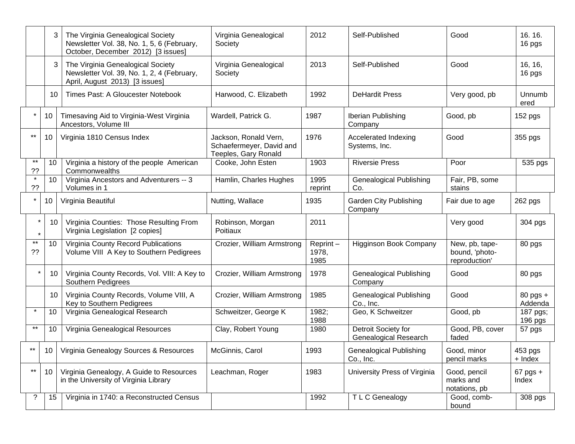|                    | 3               | The Virginia Genealogical Society<br>Newsletter Vol. 38, No. 1, 5, 6 (February,<br>October, December 2012) [3 issues] | Virginia Genealogical<br>Society                                          | 2012                      | Self-Published                                      | Good                                              | 16.16.<br>16 pgs        |
|--------------------|-----------------|-----------------------------------------------------------------------------------------------------------------------|---------------------------------------------------------------------------|---------------------------|-----------------------------------------------------|---------------------------------------------------|-------------------------|
|                    | 3 <sup>1</sup>  | The Virginia Genealogical Society<br>Newsletter Vol. 39, No. 1, 2, 4 (February,<br>April, August 2013) [3 issues]     | Virginia Genealogical<br>Society                                          | 2013                      | Self-Published                                      | Good                                              | 16, 16,<br>16 pgs       |
|                    | 10              | Times Past: A Gloucester Notebook                                                                                     | Harwood, C. Elizabeth                                                     | 1992                      | <b>DeHardit Press</b>                               | Very good, pb                                     | Unnumb<br>ered          |
|                    | 10 <sup>°</sup> | Timesaving Aid to Virginia-West Virginia<br>Ancestors, Volume III                                                     | Wardell, Patrick G.                                                       | 1987                      | Iberian Publishing<br>Company                       | Good, pb                                          | 152 pgs                 |
| **                 | 10              | Virginia 1810 Census Index                                                                                            | Jackson, Ronald Vern,<br>Schaefermeyer, David and<br>Teeples, Gary Ronald | 1976                      | Accelerated Indexing<br>Systems, Inc.               | Good                                              | 355 pgs                 |
| $***$<br>??        | 10              | Virginia a history of the people American<br>Commonwealths                                                            | Cooke, John Esten                                                         | 1903                      | <b>Riversie Press</b>                               | Poor                                              | 535 pgs                 |
| $\star$<br>??      | 10              | Virginia Ancestors and Adventurers -- 3<br>Volumes in 1                                                               | Hamlin, Charles Hughes                                                    | 1995<br>reprint           | <b>Genealogical Publishing</b><br>Co.               | Fair, PB, some<br>stains                          |                         |
|                    | 10              | Virginia Beautiful                                                                                                    | Nutting, Wallace                                                          | 1935                      | <b>Garden City Publishing</b><br>Company            | Fair due to age                                   | 262 pgs                 |
| $\star$<br>$\star$ | 10              | Virginia Counties: Those Resulting From<br>Virginia Legislation [2 copies]                                            | Robinson, Morgan<br>Poitiaux                                              | 2011                      |                                                     | Very good                                         | 304 pgs                 |
| $***$<br>??        | 10              | Virginia County Record Publications<br>Volume VIII A Key to Southern Pedigrees                                        | Crozier, William Armstrong                                                | Reprint-<br>1978,<br>1985 | <b>Higginson Book Company</b>                       | New, pb, tape-<br>bound, 'photo-<br>reproduction' | 80 pgs                  |
| $\star$            | 10              | Virginia County Records, Vol. VIII: A Key to<br>Southern Pedigrees                                                    | Crozier, William Armstrong                                                | 1978                      | <b>Genealogical Publishing</b><br>Company           | Good                                              | 80 pgs                  |
|                    | 10              | Virginia County Records, Volume VIII, A<br>Key to Southern Pedigrees                                                  | Crozier, William Armstrong                                                | 1985                      | <b>Genealogical Publishing</b><br>Co., Inc.         | Good                                              | $80$ pgs $+$<br>Addenda |
| $\star$            | 10              | Virginia Genealogical Research                                                                                        | Schweitzer, George K                                                      | 1982;<br>1988             | Geo, K Schweitzer                                   | Good, pb                                          | 187 pgs;<br>196 pgs     |
| **                 | 10              | Virginia Genealogical Resources                                                                                       | Clay, Robert Young                                                        | 1980                      | Detroit Society for<br><b>Genealogical Research</b> | Good, PB, cover<br>faded                          | 57 pgs                  |
| $***$              | 10 <sup>1</sup> | Virginia Genealogy Sources & Resources                                                                                | McGinnis, Carol                                                           | 1993                      | <b>Genealogical Publishing</b><br>Co., Inc.         | Good, minor<br>pencil marks                       | 453 pgs<br>+ Index      |
| $***$              | 10 <sup>°</sup> | Virginia Genealogy, A Guide to Resources<br>in the University of Virginia Library                                     | Leachman, Roger                                                           | 1983                      | University Press of Virginia                        | Good, pencil<br>marks and<br>notations, pb        | $67$ pgs +<br>Index     |
| ?                  | 15              | Virginia in 1740: a Reconstructed Census                                                                              |                                                                           | 1992                      | T L C Genealogy                                     | Good, comb-<br>bound                              | 308 pgs                 |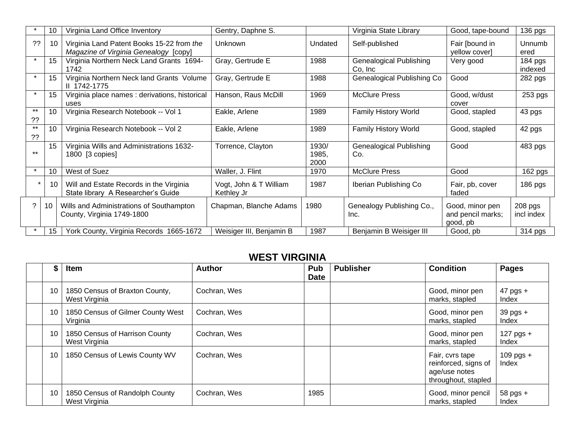|             | 10 | Virginia Land Office Inventory                                                     | Gentry, Daphne S.                    |                        | Virginia State Library                     | Good, tape-bound                                 | 136 pgs                 |
|-------------|----|------------------------------------------------------------------------------------|--------------------------------------|------------------------|--------------------------------------------|--------------------------------------------------|-------------------------|
| ??          | 10 | Virginia Land Patent Books 15-22 from the<br>Magazine of Virginia Genealogy [copy] | Unknown                              | Undated                | Self-published                             | Fair [bound in<br>yellow cover]                  | Unnumb<br>ered          |
|             | 15 | Virginia Northern Neck Land Grants 1694-<br>1742                                   | Gray, Gertrude E                     | 1988                   | <b>Genealogical Publishing</b><br>Co, Inc. | Very good                                        | $184$ pgs<br>indexed    |
| $\star$     | 15 | Virginia Northern Neck land Grants Volume<br>II 1742-1775                          | Gray, Gertrude E                     | 1988                   | Genealogical Publishing Co                 | Good                                             | 282 pgs                 |
|             | 15 | Virginia place names : derivations, historical<br>uses                             | Hanson, Raus McDill                  | 1969                   | <b>McClure Press</b>                       | Good, w/dust<br>cover                            | 253 pgs                 |
| $***$<br>?? | 10 | Virginia Research Notebook -- Vol 1                                                | Eakle, Arlene                        | 1989                   | Family History World                       | Good, stapled                                    | 43 pgs                  |
| $***$<br>?? | 10 | Virginia Research Notebook -- Vol 2                                                | Eakle, Arlene                        | 1989                   | Family History World                       | Good, stapled                                    | 42 pgs                  |
| $***$       | 15 | Virginia Wills and Administrations 1632-<br>1800 [3 copies]                        | Torrence, Clayton                    | 1930/<br>1985,<br>2000 | <b>Genealogical Publishing</b><br>Co.      | Good                                             | 483 pgs                 |
| $\star$     | 10 | West of Suez                                                                       | Waller, J. Flint                     | 1970                   | <b>McClure Press</b>                       | Good                                             | $162$ pgs               |
| $\star$     | 10 | Will and Estate Records in the Virginia<br>State library A Researcher's Guide      | Vogt, John & T William<br>Kethley Jr | 1987                   | Iberian Publishing Co                      | Fair, pb, cover<br>faded                         | $186$ pgs               |
| ?           | 10 | Wills and Administrations of Southampton<br>County, Virginia 1749-1800             | Chapman, Blanche Adams               | 1980                   | Genealogy Publishing Co.,<br>Inc.          | Good, minor pen<br>and pencil marks;<br>good, pb | $208$ pgs<br>incl index |
|             | 15 | York County, Virginia Records 1665-1672                                            | Weisiger III, Benjamin B             | 1987                   | Benjamin B Weisiger III                    | Good, pb                                         | 314 pgs                 |

## **WEST VIRGINIA**

| \$ | Item                                            | <b>Author</b> | Pub<br><b>Date</b> | <b>Publisher</b> | <b>Condition</b>                                                                | Pages                 |
|----|-------------------------------------------------|---------------|--------------------|------------------|---------------------------------------------------------------------------------|-----------------------|
| 10 | 1850 Census of Braxton County,<br>West Virginia | Cochran, Wes  |                    |                  | Good, minor pen<br>marks, stapled                                               | $47$ pgs +<br>Index   |
| 10 | 1850 Census of Gilmer County West<br>Virginia   | Cochran, Wes  |                    |                  | Good, minor pen<br>marks, stapled                                               | $39$ pgs $+$<br>Index |
| 10 | 1850 Census of Harrison County<br>West Virginia | Cochran, Wes  |                    |                  | Good, minor pen<br>marks, stapled                                               | 127 pgs $+$<br>Index  |
| 10 | 1850 Census of Lewis County WV                  | Cochran, Wes  |                    |                  | Fair, cvrs tape<br>reinforced, signs of<br>age/use notes<br>throughout, stapled | $109$ pgs +<br>Index  |
| 10 | 1850 Census of Randolph County<br>West Virginia | Cochran, Wes  | 1985               |                  | Good, minor pencil<br>marks, stapled                                            | $58$ pgs $+$<br>Index |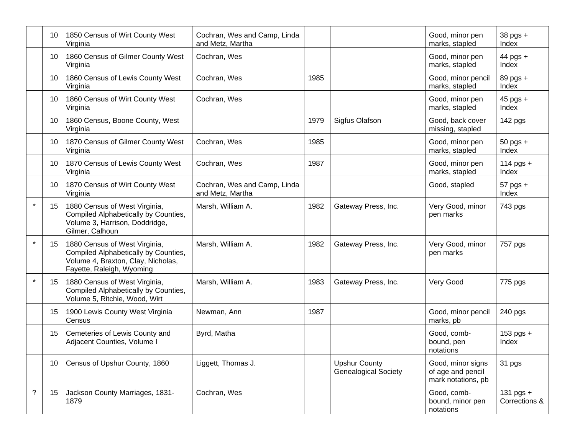|         | 10              | 1850 Census of Wirt County West<br>Virginia                                                                                              | Cochran, Wes and Camp, Linda<br>and Metz, Martha |      |                                                     | Good, minor pen<br>marks, stapled                            | $38$ pgs $+$<br>Index        |
|---------|-----------------|------------------------------------------------------------------------------------------------------------------------------------------|--------------------------------------------------|------|-----------------------------------------------------|--------------------------------------------------------------|------------------------------|
|         | 10              | 1860 Census of Gilmer County West<br>Virginia                                                                                            | Cochran, Wes                                     |      |                                                     | Good, minor pen<br>marks, stapled                            | $44$ pgs +<br>Index          |
|         | 10              | 1860 Census of Lewis County West<br>Virginia                                                                                             | Cochran, Wes                                     | 1985 |                                                     | Good, minor pencil<br>marks, stapled                         | 89 pgs +<br>Index            |
|         | 10 <sup>°</sup> | 1860 Census of Wirt County West<br>Virginia                                                                                              | Cochran, Wes                                     |      |                                                     | Good, minor pen<br>marks, stapled                            | $45$ pgs +<br>Index          |
|         | 10              | 1860 Census, Boone County, West<br>Virginia                                                                                              |                                                  | 1979 | Sigfus Olafson                                      | Good, back cover<br>missing, stapled                         | 142 pgs                      |
|         | 10              | 1870 Census of Gilmer County West<br>Virginia                                                                                            | Cochran, Wes                                     | 1985 |                                                     | Good, minor pen<br>marks, stapled                            | $50$ pgs $+$<br>Index        |
|         | 10              | 1870 Census of Lewis County West<br>Virginia                                                                                             | Cochran, Wes                                     | 1987 |                                                     | Good, minor pen<br>marks, stapled                            | 114 pgs $+$<br>Index         |
|         | 10              | 1870 Census of Wirt County West<br>Virginia                                                                                              | Cochran, Wes and Camp, Linda<br>and Metz, Martha |      |                                                     | Good, stapled                                                | $57$ pgs $+$<br>Index        |
| $\star$ | 15              | 1880 Census of West Virginia,<br>Compiled Alphabetically by Counties,<br>Volume 3, Harrison, Doddridge,<br>Gilmer, Calhoun               | Marsh, William A.                                | 1982 | Gateway Press, Inc.                                 | Very Good, minor<br>pen marks                                | 743 pgs                      |
| $\star$ | 15 <sub>1</sub> | 1880 Census of West Virginia,<br>Compiled Alphabetically by Counties,<br>Volume 4, Braxton, Clay, Nicholas,<br>Fayette, Raleigh, Wyoming | Marsh, William A.                                | 1982 | Gateway Press, Inc.                                 | Very Good, minor<br>pen marks                                | 757 pgs                      |
| $\star$ | 15 <sub>1</sub> | 1880 Census of West Virginia,<br>Compiled Alphabetically by Counties,<br>Volume 5, Ritchie, Wood, Wirt                                   | Marsh, William A.                                | 1983 | Gateway Press, Inc.                                 | Very Good                                                    | 775 pgs                      |
|         | 15              | 1900 Lewis County West Virginia<br>Census                                                                                                | Newman, Ann                                      | 1987 |                                                     | Good, minor pencil<br>marks, pb                              | 240 pgs                      |
|         | 15              | Cemeteries of Lewis County and<br>Adjacent Counties, Volume I                                                                            | Byrd, Matha                                      |      |                                                     | Good, comb-<br>bound, pen<br>notations                       | $153$ pgs +<br>Index         |
|         | 10 <sup>°</sup> | Census of Upshur County, 1860                                                                                                            | Liggett, Thomas J.                               |      | <b>Upshur County</b><br><b>Genealogical Society</b> | Good, minor signs<br>of age and pencil<br>mark notations, pb | 31 pgs                       |
| ?       | 15              | Jackson County Marriages, 1831-<br>1879                                                                                                  | Cochran, Wes                                     |      |                                                     | Good, comb-<br>bound, minor pen<br>notations                 | 131 pgs $+$<br>Corrections & |